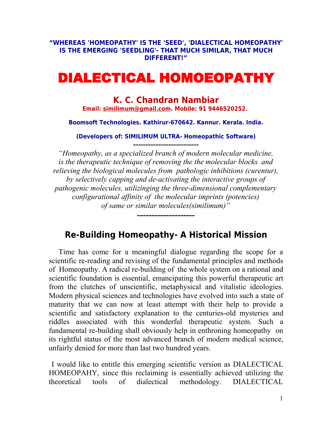#### **"WHEREAS 'HOMEOPATHY' IS THE 'SEED', 'DIALECTICAL HOMEOPATHY' IS THE EMERGING 'SEEDLING'- THAT MUCH SIMILAR, THAT MUCH DIFFERENT!"**

# DIALECTICAL HOMOEOPATHY

# **K. C. Chandran Nambiar**

**Email: [similimum@gmail.com.](mailto:similimum@gmail.com) Mobile: 91 9446520252.** 

**Boomsoft Technologies. Kathirur-670642. Kannur. Kerala. India.**

**(Developers of: SIMILIMUM ULTRA- Homeopathic Software)**

**--------------------------** *"Homeopathy, as a specialized branch of modern molecular medicine, is the therapeutic technique of removing the the molecular blocks and relieving the biological molecules from pathologic inhibitions (curentur), by selectively capping and de-activating the interactive groups of pathogenic molecules, utilizinging the three-dimensional complementary configurational affinity of the molecular imprints (potencies) of same or similar molecules(similimum)"*

# **Re-Building Homeopathy- A Historical Mission**

**--------------------**

Time has come for a meaningful dialogue regarding the scope for a scientific re-reading and revising of the fundamental principles and methods of Homeopathy. A radical re-building of the whole system on a rational and scientific foundation is essential, emancipating this powerful therapeutic art from the clutches of unscientific, metaphysical and vitalistic ideologies. Modern physical sciences and technologies have evolved into such a state of maturity that we can now at least attempt with their help to provide a scientific and satisfactory explanation to the centuries-old mysteries and riddles associated with this wonderful therapeutic system. Such a fundamental re-building shall obviously help in enthroning homeopathy on its rightful status of the most advanced branch of modern medical science, unfairly denied for more than last two hundred years.

 I would like to entitle this emerging scientific version as DIALECTICAL HOMEOPAHY, since this reclaiming is essentially achieved utilizing the theoretical tools of dialectical methodology. DIALECTICAL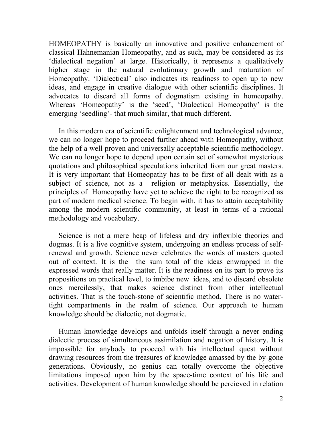HOMEOPATHY is basically an innovative and positive enhancement of classical Hahnemanian Homeopathy, and as such, may be considered as its 'dialectical negation' at large. Historically, it represents a qualitatively higher stage in the natural evolutionary growth and maturation of Homeopathy. 'Dialectical' also indicates its readiness to open up to new ideas, and engage in creative dialogue with other scientific disciplines. It advocates to discard all forms of dogmatism existing in homeopathy. Whereas 'Homeopathy' is the 'seed', 'Dialectical Homeopathy' is the emerging 'seedling'- that much similar, that much different.

In this modern era of scientific enlightenment and technological advance, we can no longer hope to proceed further ahead with Homeopathy, without the help of a well proven and universally acceptable scientific methodology. We can no longer hope to depend upon certain set of somewhat mysterious quotations and philosophical speculations inherited from our great masters. It is very important that Homeopathy has to be first of all dealt with as a subject of science, not as a religion or metaphysics. Essentially, the principles of Homeopathy have yet to achieve the right to be recognized as part of modern medical science. To begin with, it has to attain acceptability among the modern scientific community, at least in terms of a rational methodology and vocabulary.

Science is not a mere heap of lifeless and dry inflexible theories and dogmas. It is a live cognitive system, undergoing an endless process of selfrenewal and growth. Science never celebrates the words of masters quoted out of context. It is the the sum total of the ideas enwrapped in the expressed words that really matter. It is the readiness on its part to prove its propositions on practical level, to imbibe new ideas, and to discard obsolete ones mercilessly, that makes science distinct from other intellectual activities. That is the touch-stone of scientific method. There is no watertight compartments in the realm of science. Our approach to human knowledge should be dialectic, not dogmatic.

Human knowledge develops and unfolds itself through a never ending dialectic process of simultaneous assimilation and negation of history. It is impossible for anybody to proceed with his intellectual quest without drawing resources from the treasures of knowledge amassed by the by-gone generations. Obviously, no genius can totally overcome the objective limitations imposed upon him by the space-time context of his life and activities. Development of human knowledge should be percieved in relation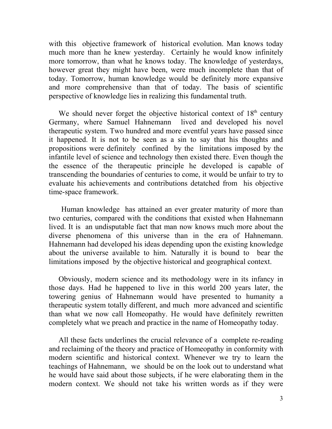with this objective framework of historical evolution. Man knows today much more than he knew yesterday. Certainly he would know infinitely more tomorrow, than what he knows today. The knowledge of yesterdays, however great they might have been, were much incomplete than that of today. Tomorrow, human knowledge would be definitely more expansive and more comprehensive than that of today. The basis of scientific perspective of knowledge lies in realizing this fundamental truth.

We should never forget the objective historical context of  $18<sup>th</sup>$  century Germany, where Samuel Hahnemann lived and developed his novel therapeutic system. Two hundred and more eventful years have passed since it happened. It is not to be seen as a sin to say that his thoughts and propositions were definitely confined by the limitations imposed by the infantile level of science and technology then existed there. Even though the the essence of the therapeutic principle he developed is capable of transcending the boundaries of centuries to come, it would be unfair to try to evaluate his achievements and contributions detatched from his objective time-space framework.

 Human knowledge has attained an ever greater maturity of more than two centuries, compared with the conditions that existed when Hahnemann lived. It is an undisputable fact that man now knows much more about the diverse phenomena of this universe than in the era of Hahnemann. Hahnemann had developed his ideas depending upon the existing knowledge about the universe available to him. Naturally it is bound to bear the limitations imposed by the objective historical and geographical context.

Obviously, modern science and its methodology were in its infancy in those days. Had he happened to live in this world 200 years later, the towering genius of Hahnemann would have presented to humanity a therapeutic system totally different, and much more advanced and scientific than what we now call Homeopathy. He would have definitely rewritten completely what we preach and practice in the name of Homeopathy today.

All these facts underlines the crucial relevance of a complete re-reading and reclaiming of the theory and practice of Homeopathy in conformity with modern scientific and historical context. Whenever we try to learn the teachings of Hahnemann, we should be on the look out to understand what he would have said about those subjects, if he were elaborating them in the modern context. We should not take his written words as if they were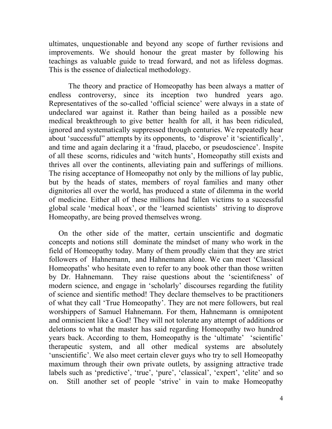ultimates, unquestionable and beyond any scope of further revisions and improvements. We should honour the great master by following his teachings as valuable guide to tread forward, and not as lifeless dogmas. This is the essence of dialectical methodology.

The theory and practice of Homeopathy has been always a matter of endless controversy, since its inception two hundred years ago. Representatives of the so-called 'official science' were always in a state of undeclared war against it. Rather than being hailed as a possible new medical breakthrough to give better health for all, it has been ridiculed, ignored and systematically suppressed through centuries. We repeatedly hear about 'successful" attempts by its opponents, to 'disprove' it 'scientifically', and time and again declaring it a 'fraud, placebo, or pseudoscience'. Inspite of all these scorns, ridicules and 'witch hunts', Homeopathy still exists and thrives all over the continents, alleviating pain and sufferings of millions. The rising acceptance of Homeopathy not only by the millions of lay public, but by the heads of states, members of royal families and many other dignitories all over the world, has produced a state of dilemma in the world of medicine. Either all of these millions had fallen victims to a successful global scale 'medical hoax', or the 'learned scientists' striving to disprove Homeopathy, are being proved themselves wrong.

On the other side of the matter, certain unscientific and dogmatic concepts and notions still dominate the mindset of many who work in the field of Homeopathy today. Many of them proudly claim that they are strict followers of Hahnemann, and Hahnemann alone. We can meet 'Classical Homeopaths' who hesitate even to refer to any book other than those written by Dr. Hahnemann. They raise questions about the 'scientifcness' of modern science, and engage in 'scholarly' discourses regarding the futility of science and sientific method! They declare themselves to be practitioners of what they call 'True Homeopathy'. They are not mere followers, but real worshippers of Samuel Hahnemann. For them, Hahnemann is omnipotent and omniscient like a God! They will not tolerate any attempt of additions or deletions to what the master has said regarding Homeopathy two hundred years back. According to them, Homeopathy is the 'ultimate' 'scientific' therapeutic system, and all other medical systems are absolutely 'unscientific'. We also meet certain clever guys who try to sell Homeopathy maximum through their own private outlets, by assigning attractive trade labels such as 'predictive', 'true', 'pure', 'classical', 'expert', 'elite' and so on. Still another set of people 'strive' in vain to make Homeopathy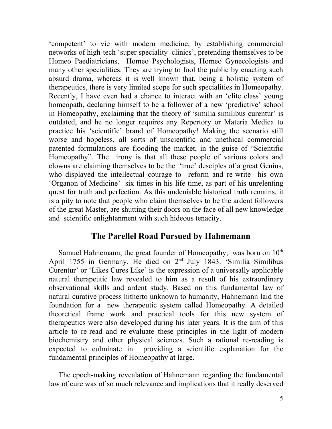'competent' to vie with modern medicine, by establishing commercial networks of high-tech 'super speciality clinics', pretending themselves to be Homeo Paediatricians, Homeo Psychologists, Homeo Gynecologists and many other specialities. They are trying to fool the public by enacting such absurd drama, whereas it is well known that, being a holistic system of therapeutics, there is very limited scope for such specialities in Homeopathy. Recently, I have even had a chance to interact with an 'elite class' young homeopath, declaring himself to be a follower of a new 'predictive' school in Homeopathy, exclaiming that the theory of 'similia similibus curentur' is outdated, and he no longer requires any Repertory or Materia Medica to practice his 'scientific' brand of Homeopathy! Making the scenario still worse and hopeless, all sorts of unscientific and unethical commercial patented formulations are flooding the market, in the guise of "Scientific Homeopathy". The irony is that all these people of various colors and clowns are claiming themselves to be the 'true' desciples of a great Genius, who displayed the intellectual courage to reform and re-write his own 'Organon of Medicine' six times in his life time, as part of his unrelenting quest for truth and perfection. As this undeniable historical truth remains, it is a pity to note that people who claim themselves to be the ardent followers of the great Master, are shutting their doors on the face of all new knowledge and scientific enlightenment with such hideous tenacity.

# **The Parellel Road Pursued by Hahnemann**

Samuel Hahnemann, the great founder of Homeopathy, was born on  $10<sup>th</sup>$ April 1755 in Germany. He died on 2<sup>nd</sup> July 1843. 'Similia Similibus Curentur' or 'Likes Cures Like' is the expression of a universally applicable natural therapeutic law revealed to him as a result of his extraordinary observational skills and ardent study. Based on this fundamental law of natural curative process hitherto unknown to humanity, Hahnemann laid the foundation for a new therapeutic system called Homeopathy. A detailed theoretical frame work and practical tools for this new system of therapeutics were also developed during his later years. It is the aim of this article to re-read and re-evaluate these principles in the light of modern biochemistry and other physical sciences. Such a rational re-reading is expected to culminate in providing a scientific explanation for the fundamental principles of Homeopathy at large.

The epoch-making revealation of Hahnemann regarding the fundamental law of cure was of so much relevance and implications that it really deserved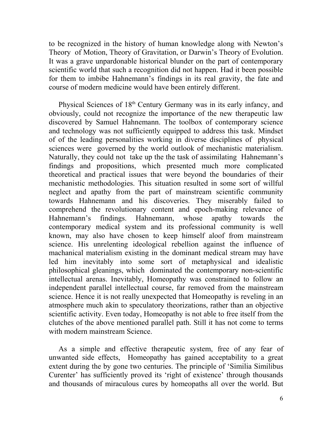to be recognized in the history of human knowledge along with Newton's Theory of Motion, Theory of Gravitation, or Darwin's Theory of Evolution. It was a grave unpardonable historical blunder on the part of contemporary scientific world that such a recognition did not happen. Had it been possible for them to imbibe Hahnemann's findings in its real gravity, the fate and course of modern medicine would have been entirely different.

Physical Sciences of 18<sup>th</sup> Century Germany was in its early infancy, and obviously, could not recognize the importance of the new therapeutic law discovered by Samuel Hahnemann. The toolbox of contemporary science and technology was not sufficiently equipped to address this task. Mindset of of the leading personalities working in diverse disciplines of physical sciences were governed by the world outlook of mechanistic materialism. Naturally, they could not take up the the task of assimilating Hahnemann's findings and propositions, which presented much more complicated theoretical and practical issues that were beyond the boundaries of their mechanistic methodologies. This situation resulted in some sort of willful neglect and apathy from the part of mainstream scientific community towards Hahnemann and his discoveries. They miserably failed to comprehend the revolutionary content and epoch-making relevance of Hahnemann's findings. Hahnemann, whose apathy towards the contemporary medical system and its professional community is well known, may also have chosen to keep himself aloof from mainstream science. His unrelenting ideological rebellion against the influence of machanical materialism existing in the dominant medical stream may have led him inevitably into some sort of metaphysical and idealistic philosophical gleanings, which dominated the contemporary non-scientific intellectual arenas. Inevitably, Homeopathy was constrained to follow an independent parallel intellectual course, far removed from the mainstream science. Hence it is not really unexpected that Homeopathy is reveling in an atmosphere much akin to speculatory theorizations, rather than an objective scientific activity. Even today, Homeopathy is not able to free itself from the clutches of the above mentioned parallel path. Still it has not come to terms with modern mainstream Science.

As a simple and effective therapeutic system, free of any fear of unwanted side effects, Homeopathy has gained acceptability to a great extent during the by gone two centuries. The principle of 'Similia Similibus Curenter' has sufficiently proved its 'right of existence' through thousands and thousands of miraculous cures by homeopaths all over the world. But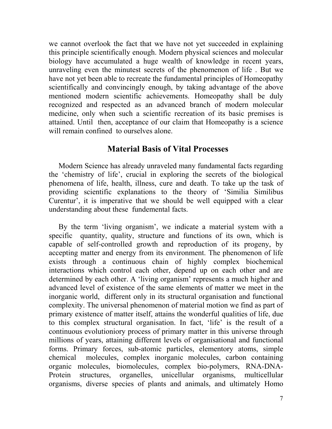we cannot overlook the fact that we have not yet succeeded in explaining this principle scientifically enough. Modern physical sciences and molecular biology have accumulated a huge wealth of knowledge in recent years, unraveling even the minutest secrets of the phenomenon of life . But we have not yet been able to recreate the fundamental principles of Homeopathy scientifically and convincingly enough, by taking advantage of the above mentioned modern scientific achievements. Homeopathy shall be duly recognized and respected as an advanced branch of modern molecular medicine, only when such a scientific recreation of its basic premises is attained. Until then, acceptance of our claim that Homeopathy is a science will remain confined to ourselves alone.

### **Material Basis of Vital Processes**

Modern Science has already unraveled many fundamental facts regarding the 'chemistry of life', crucial in exploring the secrets of the biological phenomena of life, health, illness, cure and death. To take up the task of providing scientific explanations to the theory of 'Similia Similibus Curentur', it is imperative that we should be well equipped with a clear understanding about these fundemental facts.

By the term 'living organism', we indicate a material system with a specific quantity, quality, structure and functions of its own, which is capable of self-controlled growth and reproduction of its progeny, by accepting matter and energy from its environment. The phenomenon of life exists through a continuous chain of highly complex biochemical interactions which control each other, depend up on each other and are determined by each other. A 'living organism' represents a much higher and advanced level of existence of the same elements of matter we meet in the inorganic world, different only in its structural organisation and functional complexity. The universal phenomenon of material motion we find as part of primary existence of matter itself, attains the wonderful qualities of life, due to this complex structural organisation. In fact, 'life' is the result of a continuous evolutioniory process of primary matter in this universe through millions of years, attaining different levels of organisational and functional forms. Primary forces, sub-atomic particles, elementory atoms, simple chemical molecules, complex inorganic molecules, carbon containing organic molecules, biomolecules, complex bio-polymers, RNA-DNA-Protein structures, organelles, unicellular organisms, multicellular organisms, diverse species of plants and animals, and ultimately Homo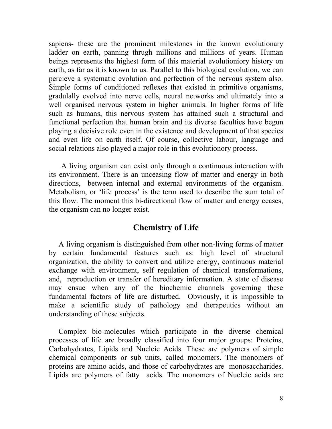sapiens- these are the prominent milestones in the known evolutionary ladder on earth, panning thrugh millions and millions of years. Human beings represents the highest form of this material evolutioniory history on earth, as far as it is known to us. Parallel to this biological evolution, we can percieve a systematic evolution and perfection of the nervous system also. Simple forms of conditioned reflexes that existed in primitive organisms, gradulally evolved into nerve cells, neural networks and ultimately into a well organised nervous system in higher animals. In higher forms of life such as humans, this nervous system has attained such a structural and functional perfection that human brain and its diverse faculties have begun playing a decisive role even in the existence and development of that species and even life on earth itself. Of course, collective labour, language and social relations also played a major role in this evolutionory process.

 A living organism can exist only through a continuous interaction with its environment. There is an unceasing flow of matter and energy in both directions, between internal and external environments of the organism. Metabolism, or 'life process' is the term used to describe the sum total of this flow. The moment this bi-directional flow of matter and energy ceases, the organism can no longer exist.

# **Chemistry of Life**

A living organism is distinguished from other non-living forms of matter by certain fundamental features such as: high level of structural organization, the ability to convert and utilize energy, continuous material exchange with environment, self regulation of chemical transformations, and, reproduction or transfer of hereditary information. A state of disease may ensue when any of the biochemic channels governing these fundamental factors of life are disturbed. Obviously, it is impossible to make a scientific study of pathology and therapeutics without an understanding of these subjects.

Complex bio-molecules which participate in the diverse chemical processes of life are broadly classified into four major groups: Proteins, Carbohydrates, Lipids and Nucleic Acids. These are polymers of simple chemical components or sub units, called monomers. The monomers of proteins are amino acids, and those of carbohydrates are monosaccharides. Lipids are polymers of fatty acids. The monomers of Nucleic acids are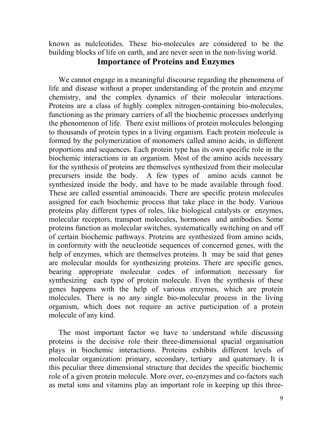known as nulcleotides. These bio-molecules are considered to be the building blocks of life on earth, and are never seen in the non-living world.

#### **Importance of Proteins and Enzymes**

We cannot engage in a meaningful discourse regarding the phenomena of life and disease without a proper understanding of the protein and enzyme chemistry, and the complex dynamics of their molecular interactions. Proteins are a class of highly complex nitrogen-containing bio-molecules, functioning as the primary carriers of all the biochemic processes underlying the phenomenon of life. There exist millions of protein molecules belonging to thousands of protein types in a living organism. Each protein molecule is formed by the polymerization of monomers called amino acids, in different proportions and sequences. Each protein type has its own specific role in the biochemic interactions in an organism. Most of the amino acids necessary for the synthesis of proteins are themselves synthesized from their molecular precursers inside the body. A few types of amino acids cannot be synthesized inside the body, and have to be made available through food. These are called essential aminoacids. There are specific protein molecules assigned for each biochemic process that take place in the body. Various proteins play different types of roles, like biological catalysts or enzymes, molecular receptors, transport molecules, hormones and antibodies. Some proteins function as molecular switches, systematically switching on and off of certain biochemic pathways. Proteins are synthesized from amino acids, in conformity with the neucleotide sequences of concerned genes, with the help of enzymes, which are themselves proteins. It may be said that genes are molecular moulds for synthesizing proteins. There are specific genes, bearing appropriate molecular codes of information necessary for synthesizing each type of protein molecule. Even the synthesis of these genes happens with the help of various enzymes, which are protein molecules. There is no any single bio-molecular process in the living organism, which does not require an active participation of a protein molecule of any kind.

The most important factor we have to understand while discussing proteins is the decisive role their three-dimensional spacial organisation plays in biochemic interactions. Proteins exhibits different levels of molecular organization: primary, secondary, tertiary and quaternary. It is this peculiar three dimensional structure that decides the specific biochemic role of a given protein molecule. More over, co-enzymes and co-factors such as metal ions and vitamins play an important role in keeping up this three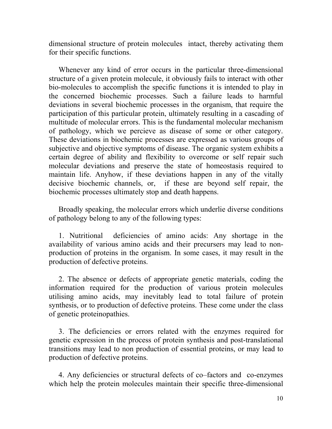dimensional structure of protein molecules intact, thereby activating them for their specific functions.

Whenever any kind of error occurs in the particular three-dimensional structure of a given protein molecule, it obviously fails to interact with other bio-molecules to accomplish the specific functions it is intended to play in the concerned biochemic processes. Such a failure leads to harmful deviations in several biochemic processes in the organism, that require the participation of this particular protein, ultimately resulting in a cascading of multitude of molecular errors. This is the fundamental molecular mechanism of pathology, which we percieve as disease of some or other category. These deviations in biochemic processes are expressed as various groups of subjective and objective symptoms of disease. The organic system exhibits a certain degree of ability and flexibility to overcome or self repair such molecular deviations and preserve the state of homeostasis required to maintain life. Anyhow, if these deviations happen in any of the vitally decisive biochemic channels, or, if these are beyond self repair, the biochemic processes ultimately stop and death happens.

Broadly speaking, the molecular errors which underlie diverse conditions of pathology belong to any of the following types:

1. Nutritional deficiencies of amino acids: Any shortage in the availability of various amino acids and their precursers may lead to nonproduction of proteins in the organism. In some cases, it may result in the production of defective proteins.

2. The absence or defects of appropriate genetic materials, coding the information required for the production of various protein molecules utilising amino acids, may inevitably lead to total failure of protein synthesis, or to production of defective proteins. These come under the class of genetic proteinopathies.

3. The deficiencies or errors related with the enzymes required for genetic expression in the process of protein synthesis and post-translational transitions may lead to non production of essential proteins, or may lead to production of defective proteins.

4. Any deficiencies or structural defects of co–factors and co-enzymes which help the protein molecules maintain their specific three-dimensional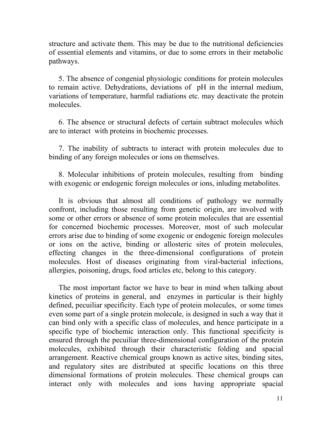structure and activate them. This may be due to the nutritional deficiencies of essential elements and vitamins, or due to some errors in their metabolic pathways.

5. The absence of congenial physiologic conditions for protein molecules to remain active. Dehydrations, deviations of pH in the internal medium, variations of temperature, harmful radiations etc. may deactivate the protein molecules.

6. The absence or structural defects of certain subtract molecules which are to interact with proteins in biochemic processes.

7. The inability of subtracts to interact with protein molecules due to binding of any foreign molecules or ions on themselves.

8. Molecular inhibitions of protein molecules, resulting from binding with exogenic or endogenic foreign molecules or ions, inluding metabolites.

It is obvious that almost all conditions of pathology we normally confront, including those resulting from genetic origin, are involved with some or other errors or absence of some protein molecules that are essential for concerned biochemic processes. Moreover, most of such molecular errors arise due to binding of some exogenic or endogenic foreign molecules or ions on the active, binding or allosteric sites of protein molecules, effecting changes in the three-dimensional configurations of protein molecules. Host of diseases originating from viral-bacterial infections, allergies, poisoning, drugs, food articles etc, belong to this category.

The most important factor we have to bear in mind when talking about kinetics of proteins in general, and enzymes in particular is their highly defined, pecuiliar specificity. Each type of protein molecules, or some times even some part of a single protein molecule, is designed in such a way that it can bind only with a specific class of molecules, and hence participate in a specific type of biochemic interaction only. This functional specificity is ensured through the pecuiliar three-dimensional configuration of the protein molecules, exhibited through their characteristic folding and spacial arrangement. Reactive chemical groups known as active sites, binding sites, and regulatory sites are distributed at specific locations on this three dimensional formations of protein molecules. These chemical groups can interact only with molecules and ions having appropriate spacial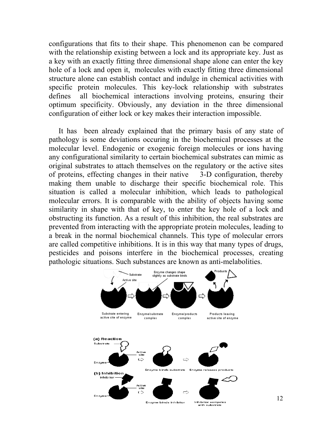configurations that fits to their shape. This phenomenon can be compared with the relationship existing between a lock and its appropriate key. Just as a key with an exactly fitting three dimensional shape alone can enter the key hole of a lock and open it, molecules with exactly fitting three dimensional structure alone can establish contact and indulge in chemical activities with specific protein molecules. This key-lock relationship with substrates defines all biochemical interactions involving proteins, ensuring their optimum specificity. Obviously, any deviation in the three dimensional configuration of either lock or key makes their interaction impossible.

It has been already explained that the primary basis of any state of pathology is some deviations occuring in the biochemical processes at the molecular level. Endogenic or exogenic foreign molecules or ions having any configurational similarity to certain biochemical substrates can mimic as original substrates to attach themselves on the regulatory or the active sites of proteins, effecting changes in their native 3-D configuration, thereby making them unable to discharge their specific biochemical role. This situation is called a molecular inhibition, which leads to pathological molecular errors. It is comparable with the ability of objects having some similarity in shape with that of key, to enter the key hole of a lock and obstructing its function. As a result of this inhibition, the real substrates are prevented from interacting with the appropriate protein molecules, leading to a break in the normal biochemical channels. This type of molecular errors are called competitive inhibitions. It is in this way that many types of drugs, pesticides and poisons interfere in the biochemical processes, creating pathologic situations. Such substances are known as anti-melabolities.

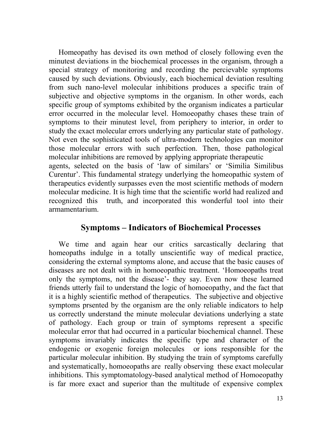Homeopathy has devised its own method of closely following even the minutest deviations in the biochemical processes in the organism, through a special strategy of monitoring and recording the percievable symptoms caused by such deviations. Obviously, each biochemical deviation resulting from such nano-level molecular inhibitions produces a specific train of subjective and objective symptoms in the organism. In other words, each specific group of symptoms exhibited by the organism indicates a particular error occurred in the molecular level. Homoeopathy chases these train of symptoms to their minutest level, from periphery to interior, in order to study the exact molecular errors underlying any particular state of pathology. Not even the sophisticated tools of ultra-modern technologies can monitor those molecular errors with such perfection. Then, those pathological molecular inhibitions are removed by applying appropriate therapeutic agents, selected on the basis of 'law of similars' or 'Similia Similibus Curentur'. This fundamental strategy underlying the homeopathic system of therapeutics evidently surpasses even the most scientific methods of modern molecular medicine. It is high time that the scientific world had realized and recognized this truth, and incorporated this wonderful tool into their armamentarium.

#### **Symptoms – Indicators of Biochemical Processes**

We time and again hear our critics sarcastically declaring that homeopaths indulge in a totally unscientific way of medical practice, considering the external symptoms alone, and accuse that the basic causes of diseases are not dealt with in homoeopathic treatment. 'Homoeopaths treat only the symptoms, not the disease'- they say. Even now these learned friends utterly fail to understand the logic of homoeopathy, and the fact that it is a highly scientific method of therapeutics. The subjective and objective symptoms prsented by the organism are the only reliable indicators to help us correctly understand the minute molecular deviations underlying a state of pathology. Each group or train of symptoms represent a specific molecular error that had occurred in a particular biochemical channel. These symptoms invariably indicates the specific type and character of the endogenic or exogenic foreign molecules or ions responsible for the particular molecular inhibition. By studying the train of symptoms carefully and systematically, homoeopaths are really observing these exact molecular inhibitions. This symptomatology-based analytical method of Homoeopathy is far more exact and superior than the multitude of expensive complex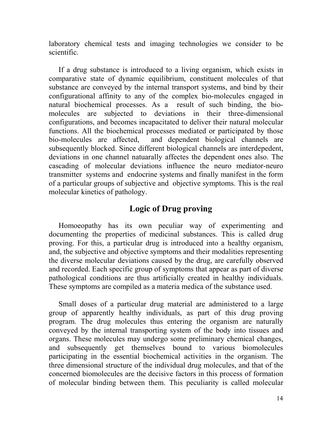laboratory chemical tests and imaging technologies we consider to be scientific.

If a drug substance is introduced to a living organism, which exists in comparative state of dynamic equilibrium, constituent molecules of that substance are conveyed by the internal transport systems, and bind by their configurational affinity to any of the complex bio-molecules engaged in natural biochemical processes. As a result of such binding, the biomolecules are subjected to deviations in their three-dimensional configurations, and becomes incapacitated to deliver their natural molecular functions. All the biochemical processes mediated or participated by those bio-molecules are affected, and dependent biological channels are subsequently blocked. Since different biological channels are interdepedent, deviations in one channel natuarally affectes the dependent ones also. The cascading of molecular deviations influence the neuro mediator-neuro transmitter systems and endocrine systems and finally manifest in the form of a particular groups of subjective and objective symptoms. This is the real molecular kinetics of pathology.

# **Logic of Drug proving**

Homoeopathy has its own peculiar way of experimenting and documenting the properties of medicinal substances. This is called drug proving. For this, a particular drug is introduced into a healthy organism, and, the subjective and objective symptoms and their modalities representing the diverse molecular deviations caused by the drug, are carefully observed and recorded. Each specific group of symptoms that appear as part of diverse pathological conditions are thus artificially created in healthy individuals. These symptoms are compiled as a materia medica of the substance used.

Small doses of a particular drug material are administered to a large group of apparently healthy individuals, as part of this drug proving program. The drug molecules thus entering the organism are naturally conveyed by the internal transporting system of the body into tissues and organs. These molecules may undergo some preliminary chemical changes, and subsequently get themselves bound to various biomolecules participating in the essential biochemical activities in the organism. The three dimensional structure of the individual drug molecules, and that of the concerned biomolecules are the decisive factors in this process of formation of molecular binding between them. This peculiarity is called molecular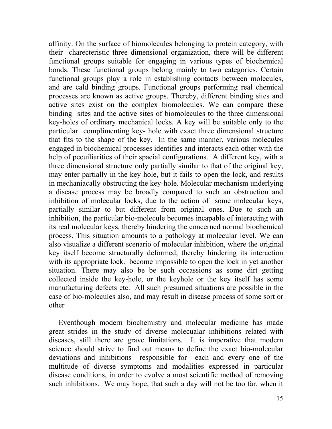affinity. On the surface of biomolecules belonging to protein category, with their charecteristic three dimensional organization, there will be different functional groups suitable for engaging in various types of biochemical bonds. These functional groups belong mainly to two categories. Certain functional groups play a role in establishing contacts between molecules, and are cald binding groups. Functional groups performing real chemical processes are known as active groups. Thereby, different binding sites and active sites exist on the complex biomolecules. We can compare these binding sites and the active sites of biomolecules to the three dimensional key-holes of ordinary mechanical locks. A key will be suitable only to the particular complimenting key- hole with exact three dimensional structure that fits to the shape of the key. In the same manner, various molecules engaged in biochemical processes identifies and interacts each other with the help of pecuiliarities of their spacial configurations. A different key, with a three dimensional structure only partially similar to that of the original key, may enter partially in the key-hole, but it fails to open the lock, and results in mechaniacally obstructing the key-hole. Molecular mechanism underlying a disease process may be broadly compared to such an obstruction and inhibition of molecular locks, due to the action of some molecular keys, partially similar to but different from original ones. Due to such an inhibition, the particular bio-molecule becomes incapable of interacting with its real molecular keys, thereby hindering the concerned normal biochemical process. This situation amounts to a pathology at molecular level. We can also visualize a different scenario of molecular inhibition, where the original key itself become structurally deformed, thereby hindering its interaction with its appropriate lock. become impossible to open the lock in yet another situation. There may also be be such occassions as some dirt getting collected inside the key-hole, or the keyhole or the key itself has some manufacturing defects etc. All such presumed situations are possible in the case of bio-molecules also, and may result in disease process of some sort or other

Eventhough modern biochemistry and molecular medicine has made great strides in the study of diverse molecualar inhibitions related with diseases, still there are grave limitations. It is imperative that modern science should strive to find out means to define the exact bio-molecular deviations and inhibitions responsible for each and every one of the multitude of diverse symptoms and modalities expressed in particular disease conditions, in order to evolve a most scientific method of removing such inhibitions. We may hope, that such a day will not be too far, when it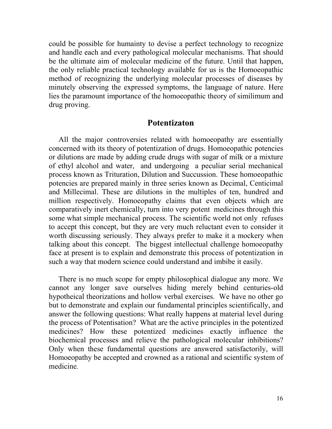could be possible for humainty to devise a perfect technology to recognize and handle each and every pathological molecular mechanisms. That should be the ultimate aim of molecular medicine of the future. Until that happen, the only reliable practical technology available for us is the Homoeopathic method of recognizing the underlying molecular processes of diseases by minutely observing the expressed symptoms, the language of nature. Here lies the paramount importance of the homoeopathic theory of similimum and drug proving.

#### **Potentizaton**

All the major controversies related with homoeopathy are essentially concerned with its theory of potentization of drugs. Homoeopathic potencies or dilutions are made by adding crude drugs with sugar of milk or a mixture of ethyl alcohol and water, and undergoing a peculiar serial mechanical process known as Trituration, Dilution and Succussion. These homoeopathic potencies are prepared mainly in three series known as Decimal, Centicimal and Millecimal. These are dilutions in the multiples of ten, hundred and million respectively. Homoeopathy claims that even objects which are comparatively inert chemically, turn into very potent medicines through this some what simple mechanical process. The scientific world not only refuses to accept this concept, but they are very much reluctant even to consider it worth discussing seriously. They always prefer to make it a mockery when talking about this concept. The biggest intellectual challenge homoeopathy face at present is to explain and demonstrate this process of potentization in such a way that modern science could understand and imbibe it easily.

There is no much scope for empty philosophical dialogue any more. We cannot any longer save ourselves hiding merely behind centuries-old hypotheical theorizations and hollow verbal exercises. We have no other go but to demonstrate and explain our fundamental principles scientifically, and answer the following questions: What really happens at material level during the process of Potentisation? What are the active principles in the potentized medicines? How these potentized medicines exactly influence the biochemical processes and relieve the pathological molecular inhibitions? Only when these fundamental questions are answered satisfactorily, will Homoeopathy be accepted and crowned as a rational and scientific system of medicine*.*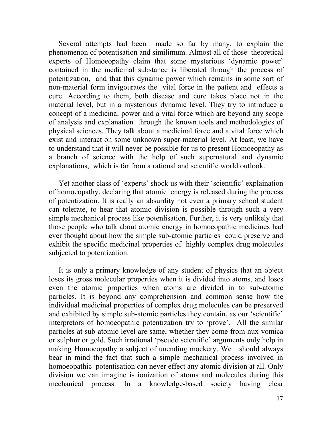Several attempts had been made so far by many, to explain the phenomenon of potentisation and similimum. Almost all of those theoretical experts of Homoeopathy claim that some mysterious 'dynamic power' contained in the medicinal substance is liberated through the process of potentization, and that this dynamic power which remains in some sort of non-material form invigourates the vital force in the patient and effects a cure. According to them, both disease and cure takes place not in the material level, but in a mysterious dynamic level. They try to introduce a concept of a medicinal power and a vital force which are beyond any scope of analysis and explanation through the known tools and methodologies of physical sciences. They talk about a medicinal force and a vital force which exist and interact on some unknown super-material level. At least, we have to understand that it will never be possible for us to present Homoeopathy as a branch of science with the help of such supernatural and dynamic explanations, which is far from a rational and scientific world outlook.

Yet another class of 'experts' shock us with their 'scientific' explaination of homoeopathy, declaring that atomic energy is released during the process of potentization. It is really an absurdity not even a primary school student can tolerate, to hear that atomic division is possible through such a very simple mechanical process like potenlisation. Further, it is very unlikely that those people who talk about atomic energy in homoeopathic medicines had ever thought about how the simple sub-atomic particles could preserve and exhibit the specific medicinal properties of highly complex drug molecules subjected to potentization.

It is only a primary knowledge of any student of physics that an object loses its gross molecular properties when it is divided into atoms, and loses even the atomic properties when atoms are divided in to sub-atomic particles. It is beyond any comprehension and common sense how the individual medicinal properties of complex drug molecules can be preserved and exhibited by simple sub-atomic particles they contain, as our 'scientific' interpretors of homoeopathic potentization try to 'prove'. All the similar particles at sub-atomic level are same, whether they come from nux vomica or sulphur or gold. Such irrational 'pseudo scientific' arguments only help in making Homoeopathy a subject of unending mockery. We should always bear in mind the fact that such a simple mechanical process involved in homoeopathic potentisation can never effect any atomic division at all. Only division we can imagine is ionization of atoms and molecules during this mechanical process. In a knowledge-based society having clear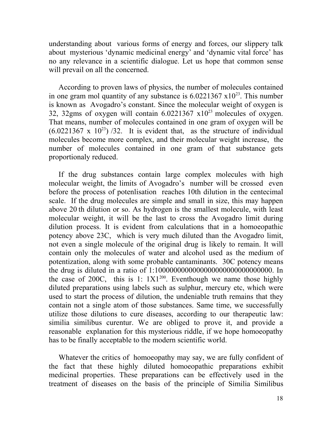understanding about various forms of energy and forces, our slippery talk about mysterious 'dynamic medicinal energy' and 'dynamic vital force' has no any relevance in a scientific dialogue. Let us hope that common sense will prevail on all the concerned.

According to proven laws of physics, the number of molecules contained in one gram mol quantity of any substance is  $6.0221367 \times 10^{23}$ . This number is known as Avogadro's constant. Since the molecular weight of oxygen is 32, 32gms of oxygen will contain  $6.0221367 \times 10^{23}$  molecules of oxygen. That means, number of molecules contained in one gram of oxygen will be  $(6.0221367 \times 10^{23})$  /32. It is evident that, as the structure of individual molecules become more complex, and their molecular weight increase, the number of molecules contained in one gram of that substance gets proportionaly reduced.

If the drug substances contain large complex molecules with high molecular weight, the limits of Avogadro's number will be crossed even before the process of potenlisation reaches 10th dilution in the centecimal scale. If the drug molecules are simple and small in size, this may happen above 20 th dilution or so. As hydrogen is the smallest molecule, with least molecular weight, it will be the last to cross the Avogadro limit during dilution process. It is evident from calculations that in a homoeopathic potency above 23C, which is very much diluted than the Avogadro limit, not even a single molecule of the original drug is likely to remain. It will contain only the molecules of water and alcohol used as the medium of potentization, along with some probable cantaminants. 30C potency means the drug is diluted in a ratio of 1:1000000000000000000000000000000. In the case of 200C, this is 1:  $1 \times 1^{200}$ . Eventhough we name those highly diluted preparations using labels such as sulphur, mercury etc, which were used to start the process of dilution, the undeniable truth remains that they contain not a single atom of those substances. Same time, we successfully utilize those dilutions to cure diseases, according to our therapeutic law: similia similibus curentur. We are obliged to prove it, and provide a reasonable explanation for this mysterious riddle, if we hope homoeopathy has to be finally acceptable to the modern scientific world.

Whatever the critics of homoeopathy may say, we are fully confident of the fact that these highly diluted homoeopathic preparations exhibit medicinal properties. These preparations can be effectively used in the treatment of diseases on the basis of the principle of Similia Similibus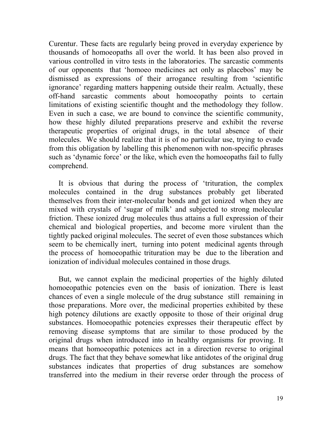Curentur. These facts are regularly being proved in everyday experience by thousands of homoeopaths all over the world. It has been also proved in various controlled in vitro tests in the laboratories. The sarcastic comments of our opponents that 'homoeo medicines act only as placebos' may be dismissed as expressions of their arrogance resulting from 'scientific ignorance' regarding matters happening outside their realm. Actually, these off-hand sarcastic comments about homoeopathy points to certain limitations of existing scientific thought and the methodology they follow. Even in such a case, we are bound to convince the scientific community, how these highly diluted preparations preserve and exhibit the reverse therapeutic properties of original drugs, in the total absence of their molecules. We should realize that it is of no particular use, trying to evade from this obligation by labelling this phenomenon with non-specific phrases such as 'dynamic force' or the like, which even the homoeopaths fail to fully comprehend.

It is obvious that during the process of 'trituration, the complex molecules contained in the drug substances probably get liberated themselves from their inter-molecular bonds and get ionized when they are mixed with crystals of 'sugar of milk' and subjected to strong molecular friction. These ionized drug molecules thus attains a full expression of their chemical and biological properties, and become more virulent than the tightly packed original molecules. The secret of even those substances which seem to be chemically inert, turning into potent medicinal agents through the process of homoeopathic trituration may be due to the liberation and ionization of individual molecules contained in those drugs.

But, we cannot explain the medicinal properties of the highly diluted homoeopathic potencies even on the basis of ionization. There is least chances of even a single molecule of the drug substance still remaining in those preparations. More over, the medicinal properties exhibited by these high potency dilutions are exactly opposite to those of their original drug substances. Homoeopathic potencies expresses their therapeutic effect by removing disease symptoms that are similar to those produced by the original drugs when introduced into in healthy organisms for proving. It means that homoeopathic potenices act in a direction reverse to original drugs. The fact that they behave somewhat like antidotes of the original drug substances indicates that properties of drug substances are somehow transferred into the medium in their reverse order through the process of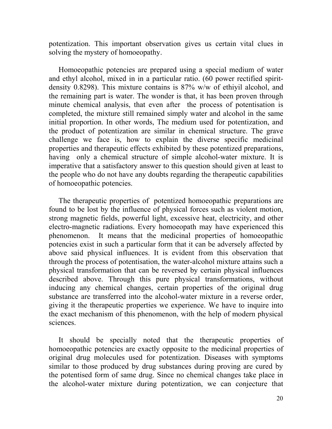potentization. This important observation gives us certain vital clues in solving the mystery of homoeopathy.

Homoeopathic potencies are prepared using a special medium of water and ethyl alcohol, mixed in in a particular ratio. (60 power rectified spiritdensity 0.8298). This mixture contains is 87% w/w of ethiyil alcohol, and the remaining part is water. The wonder is that, it has been proven through minute chemical analysis, that even after the process of potentisation is completed, the mixture still remained simply water and alcohol in the same initial proportion. In other words, The medium used for potentization, and the product of potentization are similar in chemical structure. The grave challenge we face is, how to explain the diverse specific medicinal properties and therapeutic effects exhibited by these potentized preparations, having only a chemical structure of simple alcohol-water mixture. It is imperative that a satisfactory answer to this question should given at least to the people who do not have any doubts regarding the therapeutic capabilities of homoeopathic potencies.

The therapeutic properties of potentized homoeopathic preparations are found to be lost by the influence of physical forces such as violent motion, strong magnetic fields, powerful light, excessive heat, electricity, and other electro-magnetic radiations. Every homoeopath may have experienced this phenomenon. It means that the medicinal properties of homoeopathic potencies exist in such a particular form that it can be adversely affected by above said physical influences. It is evident from this observation that through the process of potentisation, the water-alcohol mixture attains such a physical transformation that can be reversed by certain physical influences described above. Through this pure physical transformations, without inducing any chemical changes, certain properties of the original drug substance are transferred into the alcohol-water mixture in a reverse order, giving it the therapeutic properties we experience. We have to inquire into the exact mechanism of this phenomenon, with the help of modern physical sciences.

It should be specially noted that the therapeutic properties of homoeopathic potencies are exactly opposite to the medicinal properties of original drug molecules used for potentization. Diseases with symptoms similar to those produced by drug substances during proving are cured by the potentised form of same drug. Since no chemical changes take place in the alcohol-water mixture during potentization, we can conjecture that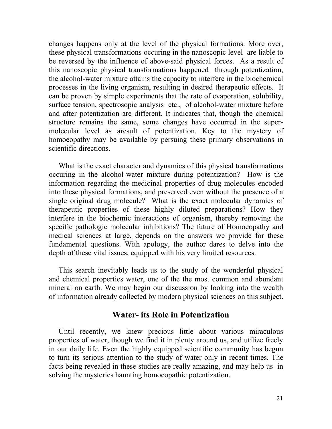changes happens only at the level of the physical formations. More over, these physical transformations occuring in the nanoscopic level are liable to be reversed by the influence of above-said physical forces. As a result of this nanoscopic physical transformations happened through potentization, the alcohol-water mixture attains the capacity to interfere in the biochemical processes in the living organism, resulting in desired therapeutic effects. It can be proven by simple experiments that the rate of evaporation, solubility, surface tension, spectrosopic analysis etc., of alcohol-water mixture before and after potentization are different. It indicates that, though the chemical structure remains the same, some changes have occurred in the supermolecular level as aresult of potentization. Key to the mystery of homoeopathy may be available by persuing these primary observations in scientific directions.

What is the exact character and dynamics of this physical transformations occuring in the alcohol-water mixture during potentization? How is the information regarding the medicinal properties of drug molecules encoded into these physical formations, and preserved even without the presence of a single original drug molecule? What is the exact molecular dynamics of therapeutic properties of these highly diluted preparations? How they interfere in the biochemic interactions of organism, thereby removing the specific pathologic molecular inhibitions? The future of Homoeopathy and medical sciences at large, depends on the answers we provide for these fundamental questions. With apology, the author dares to delve into the depth of these vital issues, equipped with his very limited resources.

This search inevitably leads us to the study of the wonderful physical and chemical properties water, one of the the most common and abundant mineral on earth. We may begin our discussion by looking into the wealth of information already collected by modern physical sciences on this subject.

#### **Water- its Role in Potentization**

Until recently, we knew precious little about various miraculous properties of water, though we find it in plenty around us, and utilize freely in our daily life. Even the highly equipped scientific community has begun to turn its serious attention to the study of water only in recent times. The facts being revealed in these studies are really amazing, and may help us in solving the mysteries haunting homoeopathic potentization.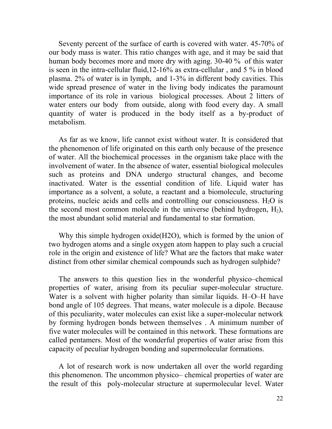Seventy percent of the surface of earth is covered with water. 45-70% of our body mass is water. This ratio changes with age, and it may be said that human body becomes more and more dry with aging. 30-40 % of this water is seen in the intra-cellular fluid,12-16% as extra-cellular , and 5 % in blood plasma. 2% of water is in lymph, and 1-3% in different body cavities. This wide spread presence of water in the living body indicates the paramount importance of its role in various biological processes. About 2 litters of water enters our body from outside, along with food every day. A small quantity of water is produced in the body itself as a by-product of metabolism.

As far as we know, life cannot exist without water. It is considered that the phenomenon of life originated on this earth only because of the presence of water. All the biochemical processes in the organism take place with the involvement of water. In the absence of water, essential biological molecules such as proteins and DNA undergo structural changes, and become inactivated. Water is the essential condition of life. Liquid water has importance as a solvent, a solute, a reactant and a biomolecule, structuring proteins, nucleic acids and cells and controlling our consciousness.  $H_2O$  is the second most common molecule in the universe (behind hydrogen,  $H_2$ ), the most abundant solid material and fundamental to star formation.

Why this simple hydrogen oxide(H2O), which is formed by the union of two hydrogen atoms and a single oxygen atom happen to play such a crucial role in the origin and existence of life? What are the factors that make water distinct from other similar chemical compounds such as hydrogen sulphide?

The answers to this question lies in the wonderful physico–chemical properties of water, arising from its peculiar super-molecular structure. Water is a solvent with higher polarity than similar liquids. H–O–H have bond angle of 105 degrees. That means, water molecule is a dipole. Because of this peculiarity, water molecules can exist like a super-molecular network by forming hydrogen bonds between themselves . A minimum number of five water molecules will be contained in this network. These formations are called pentamers. Most of the wonderful properties of water arise from this capacity of peculiar hydrogen bonding and supermolecular formations.

A lot of research work is now undertaken all over the world regarding this phenomenon. The uncommon physico– chemical properties of water are the result of this poly-molecular structure at supermolecular level. Water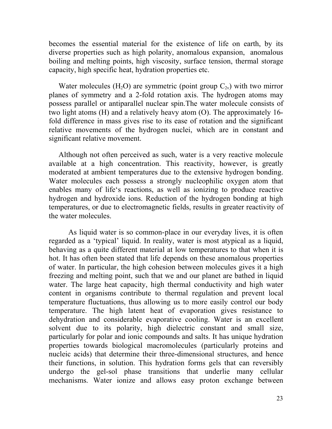becomes the essential material for the existence of life on earth, by its diverse properties such as high polarity, anomalous expansion, anomalous boiling and melting points, high viscosity, surface tension, thermal storage capacity, high specific heat, hydration properties etc.

Water molecules (H<sub>2</sub>O) are symmetric (point group  $C_{2v}$ ) with two mirror planes of symmetry and a 2-fold rotation axis. The hydrogen atoms may possess parallel or antiparallel nuclear spin.The water molecule consists of two light atoms (H) and a relatively heavy atom (O). The approximately 16 fold difference in mass gives rise to its ease of rotation and the significant relative movements of the hydrogen nuclei, which are in constant and significant relative movement.

Although not often perceived as such, water is a very reactive molecule available at a high concentration. This reactivity, however, is greatly moderated at ambient temperatures due to the extensive hydrogen bonding. Water molecules each possess a strongly nucleophilic oxygen atom that enables many of life's reactions, as well as ionizing to produce reactive hydrogen and hydroxide ions. Reduction of the hydrogen bonding at high temperatures, or due to electromagnetic fields, results in greater reactivity of the water molecules.

As liquid water is so common-place in our everyday lives, it is often regarded as a 'typical' liquid. In reality, water is most atypical as a liquid, behaving as a quite different material at low temperatures to that when it is hot. It has often been stated that life depends on these anomalous properties of water. In particular, the high cohesion between molecules gives it a high freezing and melting point, such that we and our planet are bathed in liquid water. The large heat capacity, high thermal conductivity and high water content in organisms contribute to thermal regulation and prevent local temperature fluctuations, thus allowing us to more easily control our body temperature. The high latent heat of evaporation gives resistance to dehydration and considerable evaporative cooling. Water is an excellent solvent due to its polarity, high dielectric constant and small size, particularly for polar and ionic compounds and salts. It has unique hydration properties towards biological macromolecules (particularly proteins and nucleic acids) that determine their three-dimensional structures, and hence their functions, in solution. This hydration forms gels that can reversibly undergo the gel-sol phase transitions that underlie many cellular mechanisms. Water ionize and allows easy proton exchange between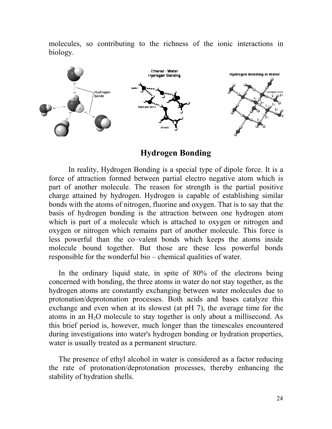molecules, so contributing to the richness of the ionic interactions in biology.



# **Hydrogen Bonding**

In reality, Hydrogen Bonding is a special type of dipole force. It is a force of attraction formed between partial electro negative atom which is part of another molecule. The reason for strength is the partial positive charge attained by hydrogen. Hydrogen is capable of establishing similar bonds with the atoms of nitrogen, fluorine and oxygen. That is to say that the basis of hydrogen bonding is the attraction between one hydrogen atom which is part of a molecule which is attached to oxygen or nitrogen and oxygen or nitrogen which remains part of another molecule. This force is less powerful than the co–valent bonds which keeps the atoms inside molecule bound together. But those are these less powerful bonds responsible for the wonderful bio – chemical qualities of water.

In the ordinary liquid state, in spite of 80% of the electrons being concerned with bonding, the three atoms in water do not stay together, as the hydrogen atoms are constantly exchanging between water molecules due to protonation/deprotonation processes. Both acids and bases catalyze this exchange and even when at its slowest (at pH 7), the average time for the atoms in an  $H_2O$  molecule to stay together is only about a millisecond. As this brief period is, however, much longer than the timescales encountered during investigations into water's hydrogen bonding or hydration properties, water is usually treated as a permanent structure.

The presence of ethyl alcohol in water is considered as a factor reducing the rate of protonation/deprotonation processes, thereby enhancing the stability of hydration shells.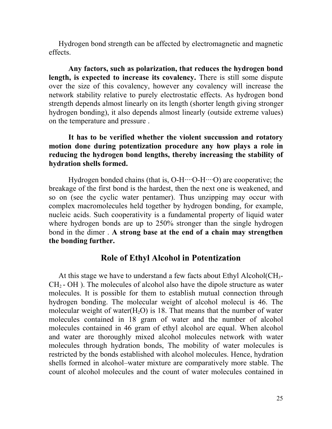Hydrogen bond strength can be affected by electromagnetic and magnetic effects.

**Any factors, such as polarization, that reduces the hydrogen bond length, is expected to increase its covalency.** There is still some dispute over the size of this covalency, however any covalency will increase the network stability relative to purely electrostatic effects. As hydrogen bond strength depends almost linearly on its length (shorter length giving stronger hydrogen bonding), it also depends almost linearly (outside extreme values) on the temperature and pressure .

**It has to be verified whether the violent succussion and rotatory motion done during potentization procedure any how plays a role in reducing the hydrogen bond lengths, thereby increasing the stability of hydration shells formed.** 

Hydrogen bonded chains (that is, O-H····O-H····O) are cooperative; the breakage of the first bond is the hardest, then the next one is weakened, and so on (see the cyclic water pentamer). Thus unzipping may occur with complex macromolecules held together by hydrogen bonding, for example, nucleic acids. Such cooperativity is a fundamental property of liquid water where hydrogen bonds are up to 250% stronger than the single hydrogen bond in the dimer . **A strong base at the end of a chain may strengthen the bonding further.**

#### **Role of Ethyl Alcohol in Potentization**

At this stage we have to understand a few facts about Ethyl Alcohol(CH3-  $CH<sub>2</sub>$  - OH ). The molecules of alcohol also have the dipole structure as water molecules. It is possible for them to establish mutual connection through hydrogen bonding. The molecular weight of alcohol molecul is 46. The molecular weight of water $(H_2O)$  is 18. That means that the number of water molecules contained in 18 gram of water and the number of alcohol molecules contained in 46 gram of ethyl alcohol are equal. When alcohol and water are thoroughly mixed alcohol molecules network with water molecules through hydration bonds, The mobility of water molecules is restricted by the bonds established with alcohol molecules. Hence, hydration shells formed in alcohol–water mixture are comparatively more stable. The count of alcohol molecules and the count of water molecules contained in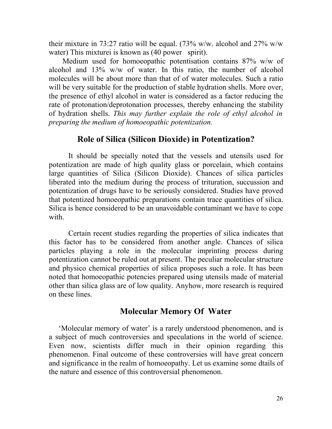their mixture in 73:27 ratio will be equal. (73% w/w. alcohol and 27% w/w water) This mixturei is known as (40 power spirit).

 Medium used for homoeopathic potentisation contains 87% w/w of alcohol and 13% w/w of water. In this ratio, the number of alcohol molecules will be about more than that of of water molecules. Such a ratio will be very suitable for the production of stable hydration shells. More over, the presence of ethyl alcohol in water is considered as a factor reducing the rate of protonation/deprotonation processes, thereby enhancing the stability of hydration shells. *This may further explain the role of ethyl alcohol in preparing the medium of homoeopathic potentization.*

#### **Role of Silica (Silicon Dioxide) in Potentization?**

It should be specially noted that the vessels and utensils used for potentization are made of high quality glass or porcelain, which contains large quantities of Silica (Silicon Dioxide). Chances of silica particles liberated into the medium during the process of trituration, succussion and potentization of drugs have to be seriously considered. Studies have proved that potentized homoeopathic preparations contain trace quantities of silica. Silica is hence considered to be an unavoidable contaminant we have to cope with

Certain recent studies regarding the properties of silica indicates that this factor has to be considered from another angle. Chances of silica particles playing a role in the molecular imprinting process during potentization cannot be ruled out at present. The peculiar molecular structure and physico chemical properties of silica proposes such a role. It has been noted that homoeopathic potencies prepared using utensils made of material other than silica glass are of low quality. Anyhow, more research is required on these lines.

#### **Molecular Memory Of Water**

'Molecular memory of water' is a rarely understood phenomenon, and is a subject of much controversies and speculations in the world of science. Even now, scientists differ much in their opinion regarding this phenomenon. Final outcome of these controversies will have great concern and significance in the realm of homoeopathy. Let us examine some dtails of the nature and essence of this controversial phenomenon.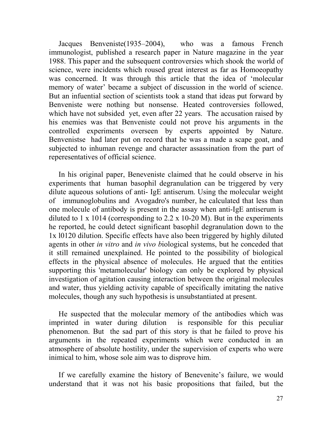Jacques Benveniste(1935–2004), who was a famous French immunologist, published a research paper in Nature magazine in the year 1988. This paper and the subsequent controversies which shook the world of science, were incidents which roused great interest as far as Homoeopathy was concerned. It was through this article that the idea of 'molecular memory of water' became a subject of discussion in the world of science. But an infuential section of scientists took a stand that ideas put forward by Benveniste were nothing but nonsense. Heated controversies followed, which have not subsided yet, even after 22 years. The accusation raised by his enemies was that Benveniste could not prove his arguments in the controlled experiments overseen by experts appointed by Nature. Benvenistse had later put on record that he was a made a scape goat, and subjected to inhuman revenge and character assassination from the part of reperesentatives of official science.

In his original paper, Beneveniste claimed that he could observe in his experiments that human basophil degranulation can be triggered by very dilute aqueous solutions of anti- IgE antiserum. Using the molecular weight of immunoglobulins and Avogadro's number, he calculated that less than one molecule of antibody is present in the assay when anti-IgE antiserum is diluted to 1 x 1014 (corresponding to 2.2 x 10-20 M). But in the experiments he reported, he could detect significant basophil degranulation down to the 1x l0120 dilution. Specific effects have also been triggered by highly diluted agents in other *in vitro* and *in vivo b*iological systems, but he conceded that it still remained unexplained. He pointed to the possibility of biological effects in the physical absence of molecules. He argued that the entities supporting this 'metamolecular' biology can only be explored by physical investigation of agitation causing interaction between the original molecules and water, thus yielding activity capable of specifically imitating the native molecules, though any such hypothesis is unsubstantiated at present.

He suspected that the molecular memory of the antibodies which was imprinted in water during dilution is responsible for this peculiar phenomenon. But the sad part of this story is that he failed to prove his arguments in the repeated experiments which were conducted in an atmosphere of absolute hostility, under the supervision of experts who were inimical to him, whose sole aim was to disprove him.

If we carefully examine the history of Benevenite's failure, we would understand that it was not his basic propositions that failed, but the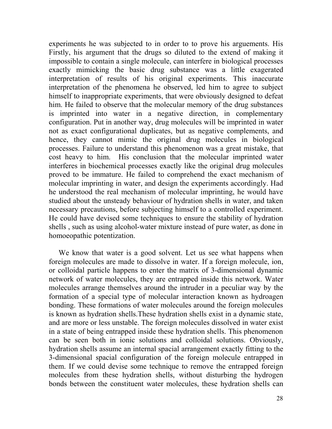experiments he was subjected to in order to to prove his arguements. His Firstly, his argument that the drugs so diluted to the extend of making it impossible to contain a single molecule, can interfere in biological processes exactly mimicking the basic drug substance was a little exagerated interpretation of results of his original experiments. This inaccurate interpretation of the phenomena he observed, led him to agree to subject himself to inappropriate experiments, that were obviously designed to defeat him. He failed to observe that the molecular memory of the drug substances is imprinted into water in a negative direction, in complementary configuration. Put in another way, drug molecules will be imprinted in water not as exact configurational duplicates, but as negative complements, and hence, they cannot mimic the original drug molecules in biological processes. Failure to understand this phenomenon was a great mistake, that cost heavy to him. His conclusion that the molecular imprinted water interferes in biochemical processes exactly like the original drug molecules proved to be immature. He failed to comprehend the exact mechanism of molecular imprinting in water, and design the experiments accordingly. Had he understood the real mechanism of molecular imprinting, he would have studied about the unsteady behaviour of hydration shells in water, and taken necessary precautions, before subjecting himself to a controlled experiment. He could have devised some techniques to ensure the stability of hydration shells , such as using alcohol-water mixture instead of pure water, as done in homoeopathic potentization.

We know that water is a good solvent. Let us see what happens when foreign molecules are made to dissolve in water. If a foreign molecule, ion, or colloidal particle happens to enter the matrix of 3-dimensional dynamic network of water molecules, they are entrapped inside this network. Water molecules arrange themselves around the intruder in a peculiar way by the formation of a special type of molecular interaction known as hydroagen bonding. These formations of water molecules around the foreign molecules is known as hydration shells.These hydration shells exist in a dynamic state, and are more or less unstable. The foreign molecules dissolved in water exist in a state of being entrapped inside these hydration shells. This phenomenon can be seen both in ionic solutions and colloidal solutions. Obviously, hydration shells assume an internal spacial arrangement exactly fitting to the 3-dimensional spacial configuration of the foreign molecule entrapped in them. If we could devise some technique to remove the entrapped foreign molecules from these hydration shells, without disturbing the hydrogen bonds between the constituent water molecules, these hydration shells can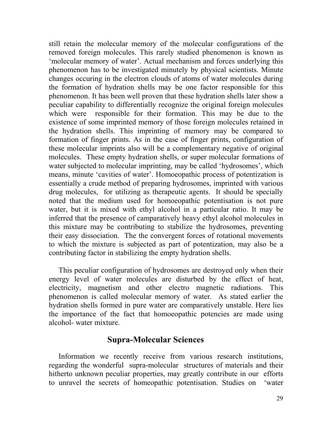still retain the molecular memory of the molecular configurations of the removed foreign molecules. This rarely studied phenomenon is known as 'molecular memory of water'. Actual mechanism and forces underlying this phenomenon has to be investigated minutely by physical scientists. Minute changes occuring in the electron clouds of atoms of water molecules during the formation of hydration shells may be one factor responsible for this phenomenon. It has been well proven that these hydration shells later show a peculiar capability to differentially recognize the original foreign molecules which were responsible for their formation. This may be due to the existence of some imprinted memory of those foreign molecules retained in the hydration shells. This imprinting of memory may be compared to formation of finger prints. As in the case of finger prints, configuration of these molecular imprints also will be a complementary negative of original molecules. These empty hydration shells, or super molecular formations of water subjected to molecular imprinting, may be called 'hydrosomes', which means, minute 'cavities of water'. Homoeopathic process of potentization is essentially a crude method of preparing hydrosomes, imprinted with various drug molecules, for utilizing as therapeutic agents. It should be specially noted that the medium used for homoeopathic potentisation is not pure water, but it is mixed with ethyl alcohol in a particular ratio. It may be inferred that the presence of camparatively heavy ethyl alcohol molecules in this mixture may be contributing to stabilize the hydrosomes, preventing their easy dissociation. The the convergent forces of rotational movements to which the mixture is subjected as part of potentization, may also be a contributing factor in stabilizing the empty hydration shells.

This peculiar configuration of hydrosomes are destroyed only when their energy level of water molecules are disturbed by the effect of heat, electricity, magnetism and other electro magnetic radiations. This phenomenon is called molecular memory of water. As stated earlier the hydration shells formed in pure water are comparatively unstable. Here lies the importance of the fact that homoeopathic potencies are made using alcohol- water mixture.

# **Supra-Molecular Sciences**

Information we recently receive from various research institutions, regarding the wonderful supra-molecular structures of materials and their hitherto unknown peculiar properties, may greatly contribute in our efforts to unravel the secrets of homeopathic potentisation. Studies on 'water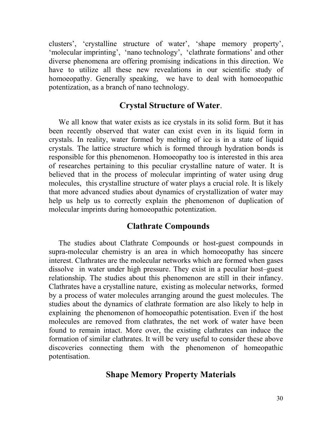clusters', 'crystalline structure of water', 'shape memory property', 'molecular imprinting', 'nano technology', 'clathrate formations' and other diverse phenomena are offering promising indications in this direction. We have to utilize all these new revealations in our scientific study of homoeopathy. Generally speaking, we have to deal with homoeopathic potentization, as a branch of nano technology.

# **Crystal Structure of Water**.

We all know that water exists as ice crystals in its solid form. But it has been recently observed that water can exist even in its liquid form in crystals. In reality, water formed by melting of ice is in a state of liquid crystals. The lattice structure which is formed through hydration bonds is responsible for this phenomenon. Homoeopathy too is interested in this area of researches pertaining to this peculiar crystalline nature of water. It is believed that in the process of molecular imprinting of water using drug molecules, this crystalline structure of water plays a crucial role. It is likely that more advanced studies about dynamics of crystallization of water may help us help us to correctly explain the phenomenon of duplication of molecular imprints during homoeopathic potentization.

#### **Clathrate Compounds**

The studies about Clathrate Compounds or host-guest compounds in supra-molecular chemistry is an area in which homoeopathy has sincere interest. Clathrates are the molecular networks which are formed when gases dissolve in water under high pressure. They exist in a peculiar host–guest relationship. The studies about this phenomenon are still in their infancy. Clathrates have a crystalline nature, existing as molecular networks, formed by a process of water molecules arranging around the guest molecules. The studies about the dynamics of clathrate formation are also likely to help in explaining the phenomenon of homoeopathic potentisation. Even if the host molecules are removed from clathrates, the net work of water have been found to remain intact. More over, the existing clathrates can induce the formation of similar clathrates. It will be very useful to consider these above discoveries connecting them with the phenomenon of homeopathic potentisation.

# **Shape Memory Property Materials**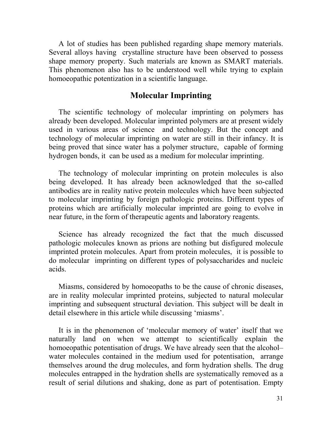A lot of studies has been published regarding shape memory materials. Several alloys having crystalline structure have been observed to possess shape memory property. Such materials are known as SMART materials. This phenomenon also has to be understood well while trying to explain homoeopathic potentization in a scientific language.

#### **Molecular Imprinting**

The scientific technology of molecular imprinting on polymers has already been developed. Molecular imprinted polymers are at present widely used in various areas of science and technology. But the concept and technology of molecular imprinting on water are still in their infancy. It is being proved that since water has a polymer structure, capable of forming hydrogen bonds, it can be used as a medium for molecular imprinting.

The technology of molecular imprinting on protein molecules is also being developed. It has already been acknowledged that the so-called antibodies are in reality native protein molecules which have been subjected to molecular imprinting by foreign pathologic proteins. Different types of proteins which are artificially molecular imprinted are going to evolve in near future, in the form of therapeutic agents and laboratory reagents.

Science has already recognized the fact that the much discussed pathologic molecules known as prions are nothing but disfigured molecule imprinted protein molecules. Apart from protein molecules, it is possible to do molecular imprinting on different types of polysaccharides and nucleic acids.

Miasms, considered by homoeopaths to be the cause of chronic diseases, are in reality molecular imprinted proteins, subjected to natural molecular imprinting and subsequent structural deviation. This subject will be dealt in detail elsewhere in this article while discussing 'miasms'.

It is in the phenomenon of 'molecular memory of water' itself that we naturally land on when we attempt to scientifically explain the homoeopathic potentisation of drugs. We have already seen that the alcohol– water molecules contained in the medium used for potentisation, arrange themselves around the drug molecules, and form hydration shells. The drug molecules entrapped in the hydration shells are systematically removed as a result of serial dilutions and shaking, done as part of potentisation. Empty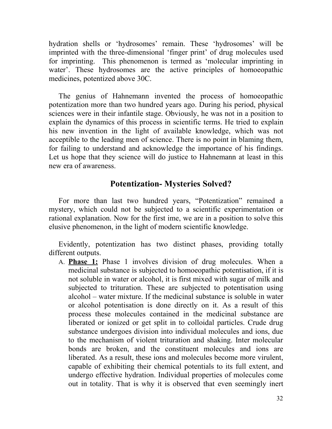hydration shells or 'hydrosomes' remain. These 'hydrosomes' will be imprinted with the three-dimensional 'finger print' of drug molecules used for imprinting. This phenomenon is termed as 'molecular imprinting in water'. These hydrosomes are the active principles of homoeopathic medicines, potentized above 30C.

The genius of Hahnemann invented the process of homoeopathic potentization more than two hundred years ago. During his period, physical sciences were in their infantile stage. Obviously, he was not in a position to explain the dynamics of this process in scientific terms. He tried to explain his new invention in the light of available knowledge, which was not acceptible to the leading men of science. There is no point in blaming them, for failing to understand and acknowledge the importance of his findings. Let us hope that they science will do justice to Hahnemann at least in this new era of awareness.

# **Potentization- Mysteries Solved?**

For more than last two hundred years, "Potentization" remained a mystery, which could not be subjected to a scientific experimentation or rational explanation. Now for the first ime, we are in a position to solve this elusive phenomenon, in the light of modern scientific knowledge.

Evidently, potentization has two distinct phases, providing totally different outputs.

A. **Phase 1:** Phase 1 involves division of drug molecules. When a medicinal substance is subjected to homoeopathic potentisation, if it is not soluble in water or alcohol, it is first mixed with sugar of milk and subjected to trituration. These are subjected to potentisation using alcohol – water mixture. If the medicinal substance is soluble in water or alcohol potentisation is done directly on it. As a result of this process these molecules contained in the medicinal substance are liberated or ionized or get split in to colloidal particles. Crude drug substance undergoes division into individual molecules and ions, due to the mechanism of violent trituration and shaking. Inter molecular bonds are broken, and the constituent molecules and ions are liberated. As a result, these ions and molecules become more virulent, capable of exhibiting their chemical potentials to its full extent, and undergo effective hydration. Individual properties of molecules come out in totality. That is why it is observed that even seemingly inert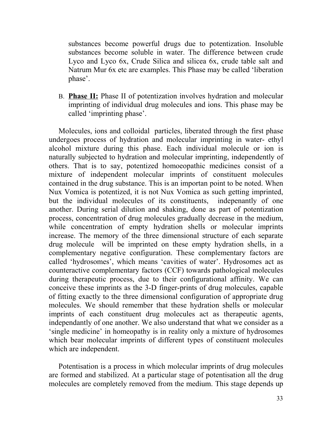substances become powerful drugs due to potentization. Insoluble substances become soluble in water. The difference between crude Lyco and Lyco 6x, Crude Silica and silicea 6x, crude table salt and Natrum Mur 6x etc are examples. This Phase may be called 'liberation phase'.

B. **Phase II:** Phase II of potentization involves hydration and molecular imprinting of individual drug molecules and ions. This phase may be called 'imprinting phase'.

Molecules, ions and colloidal particles, liberated through the first phase undergoes process of hydration and molecular imprinting in water- ethyl alcohol mixture during this phase. Each individual molecule or ion is naturally subjected to hydration and molecular imprinting, independently of others. That is to say, potentized homoeopathic medicines consist of a mixture of independent molecular imprints of constituent molecules contained in the drug substance. This is an importan point to be noted. When Nux Vomica is potentized, it is not Nux Vomica as such getting imprinted, but the individual molecules of its constituents, indepenantly of one another. During serial dilution and shaking, done as part of potentization process, concentration of drug molecules gradually decrease in the medium, while concentration of empty hydration shells or molecular imprints increase. The memory of the three dimensional structure of each separate drug molecule will be imprinted on these empty hydration shells, in a complementary negative configuration. These complementary factors are called 'hydrosomes', which means 'cavities of water'. Hydrosomes act as counteractive complementary factors (CCF) towards pathological molecules during therapeutic process, due to their configurational affinity. We can conceive these imprints as the 3-D finger-prints of drug molecules, capable of fitting exactly to the three dimensional configuration of appropriate drug molecules. We should remember that these hydration shells or molecular imprints of each constituent drug molecules act as therapeutic agents, independantly of one another. We also understand that what we consider as a 'single medicine' in homeopathy is in reality only a mixture of hydrosomes which bear molecular imprints of different types of constituent molecules which are independent.

Potentisation is a process in which molecular imprints of drug molecules are formed and stabilized. At a particular stage of potentisation all the drug molecules are completely removed from the medium. This stage depends up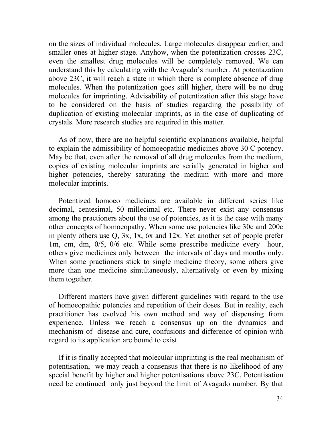on the sizes of individual molecules. Large molecules disappear earlier, and smaller ones at higher stage. Anyhow, when the potentization crosses 23C, even the smallest drug molecules will be completely removed. We can understand this by calculating with the Avagado's number. At potentazation above 23C, it will reach a state in which there is complete absence of drug molecules. When the potentization goes still higher, there will be no drug molecules for imprinting. Advisability of potentization after this stage have to be considered on the basis of studies regarding the possibility of duplication of existing molecular imprints, as in the case of duplicating of crystals. More research studies are required in this matter.

As of now, there are no helpful scientific explanations available, helpful to explain the admissibility of homoeopathic medicines above 30 C potency. May be that, even after the removal of all drug molecules from the medium, copies of existing molecular imprints are serially generated in higher and higher potencies, thereby saturating the medium with more and more molecular imprints.

Potentized homoeo medicines are available in different series like decimal, centesimal, 50 millecimal etc. There never exist any consensus among the practioners about the use of potencies, as it is the case with many other concepts of homoeopathy. When some use potencies like 30c and 200c in plenty others use Q, 3x, 1x, 6x and 12x. Yet another set of people prefer 1m, cm, dm, 0/5, 0/6 etc. While some prescribe medicine every hour, others give medicines only between the intervals of days and months only. When some practioners stick to single medicine theory, some others give more than one medicine simultaneously, alternatively or even by mixing them together.

Different masters have given different guidelines with regard to the use of homoeopathic potencies and repetition of their doses. But in reality, each practitioner has evolved his own method and way of dispensing from experience. Unless we reach a consensus up on the dynamics and mechanism of disease and cure, confusions and difference of opinion with regard to its application are bound to exist.

If it is finally accepted that molecular imprinting is the real mechanism of potentisation, we may reach a consensus that there is no likelihood of any special benefit by higher and higher potentisations above 23C. Potentisation need be continued only just beyond the limit of Avagado number. By that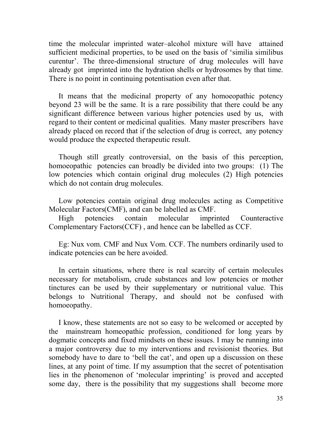time the molecular imprinted water–alcohol mixture will have attained sufficient medicinal properties, to be used on the basis of 'similia similibus curentur'. The three-dimensional structure of drug molecules will have already got imprinted into the hydration shells or hydrosomes by that time. There is no point in continuing potentisation even after that.

It means that the medicinal property of any homoeopathic potency beyond 23 will be the same. It is a rare possibility that there could be any significant difference between various higher potencies used by us, with regard to their content or medicinal qualities. Many master prescribers have already placed on record that if the selection of drug is correct, any potency would produce the expected therapeutic result.

Though still greatly controversial, on the basis of this perception, homoeopathic potencies can broadly be divided into two groups: (1) The low potencies which contain original drug molecules (2) High potencies which do not contain drug molecules.

Low potencies contain original drug molecules acting as Competitive Molecular Factors(CMF), and can be labelled as CMF.

High potencies contain molecular imprinted Counteractive Complementary Factors(CCF) , and hence can be labelled as CCF.

Eg: Nux vom. CMF and Nux Vom. CCF. The numbers ordinarily used to indicate potencies can be here avoided.

In certain situations, where there is real scarcity of certain molecules necessary for metabolism, crude substances and low potencies or mother tinctures can be used by their supplementary or nutritional value. This belongs to Nutritional Therapy, and should not be confused with homoeopathy.

I know, these statements are not so easy to be welcomed or accepted by the mainstream homeopathic profession, conditioned for long years by dogmatic concepts and fixed mindsets on these issues. I may be running into a major controversy due to my interventions and revisionist theories. But somebody have to dare to 'bell the cat', and open up a discussion on these lines, at any point of time. If my assumption that the secret of potentisation lies in the phenomenon of 'molecular imprinting' is proved and accepted some day, there is the possibility that my suggestions shall become more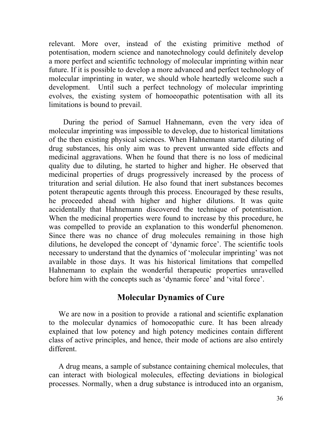relevant. More over, instead of the existing primitive method of potentisation, modern science and nanotechnology could definitely develop a more perfect and scientific technology of molecular imprinting within near future. If it is possible to develop a more advanced and perfect technology of molecular imprinting in water, we should whole heartedly welcome such a development. Until such a perfect technology of molecular imprinting evolves, the existing system of homoeopathic potentisation with all its limitations is bound to prevail.

 During the period of Samuel Hahnemann, even the very idea of molecular imprinting was impossible to develop, due to historical limitations of the then existing physical sciences. When Hahnemann started diluting of drug substances, his only aim was to prevent unwanted side effects and medicinal aggravations. When he found that there is no loss of medicinal quality due to diluting, he started to higher and higher. He observed that medicinal properties of drugs progressively increased by the process of trituration and serial dilution. He also found that inert substances becomes potent therapeutic agents through this process. Encouraged by these results, he proceeded ahead with higher and higher dilutions. It was quite accidentally that Hahnemann discovered the technique of potentisation. When the medicinal properties were found to increase by this procedure, he was compelled to provide an explanation to this wonderful phenomenon. Since there was no chance of drug molecules remaining in those high dilutions, he developed the concept of 'dynamic force'. The scientific tools necessary to understand that the dynamics of 'molecular imprinting' was not available in those days. It was his historical limitations that compelled Hahnemann to explain the wonderful therapeutic properties unravelled before him with the concepts such as 'dynamic force' and 'vital force'.

# **Molecular Dynamics of Cure**

We are now in a position to provide a rational and scientific explanation to the molecular dynamics of homoeopathic cure. It has been already explained that low potency and high potency medicines contain different class of active principles, and hence, their mode of actions are also entirely different.

A drug means, a sample of substance containing chemical molecules, that can interact with biological molecules, effecting deviations in biological processes. Normally, when a drug substance is introduced into an organism,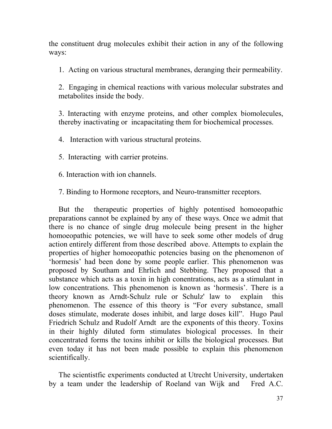the constituent drug molecules exhibit their action in any of the following ways:

1. Acting on various structural membranes, deranging their permeability.

2. Engaging in chemical reactions with various molecular substrates and metabolites inside the body.

3. Interacting with enzyme proteins, and other complex biomolecules, thereby inactivating or incapacitating them for biochemical processes.

4. Interaction with various structural proteins.

5. Interacting with carrier proteins.

6. Interaction with ion channels.

7. Binding to Hormone receptors, and Neuro-transmitter receptors.

But the therapeutic properties of highly potentised homoeopathic preparations cannot be explained by any of these ways. Once we admit that there is no chance of single drug molecule being present in the higher homoeopathic potencies, we will have to seek some other models of drug action entirely different from those described above. Attempts to explain the properties of higher homoeopathic potencies basing on the phenomenon of 'hormesis' had been done by some people earlier. This phenomenon was proposed by Southam and Ehrlich and Stebbing. They proposed that a substance which acts as a toxin in high conentrations, acts as a stimulant in low concentrations. This phenomenon is known as 'hormesis'. There is a theory known as Arndt-Schulz rule or Schulz' law to explain this phenomenon. The essence of this theory is "For every substance, small doses stimulate, moderate doses inhibit, and large doses kill". Hugo Paul Friedrich Schulz and Rudolf Arndt are the exponents of this theory. Toxins in their highly diluted form stimulates biological processes. In their concentrated forms the toxins inhibit or kills the biological processes. But even today it has not been made possible to explain this phenomenon scientifically.

The scientistfic experiments conducted at Utrecht University, undertaken by a team under the leadership of Roeland van Wijk and Fred A.C.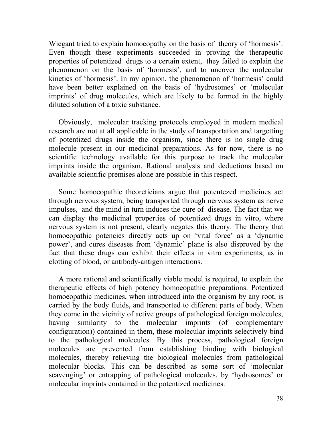Wiegant tried to explain homoeopathy on the basis of theory of 'hormesis'. Even though these experiments succeeded in proving the therapeutic properties of potentized drugs to a certain extent, they failed to explain the phenomenon on the basis of 'hormesis', and to uncover the molecular kinetics of 'hormesis'. In my opinion, the phenomenon of 'hormesis' could have been better explained on the basis of 'hydrosomes' or 'molecular imprints' of drug molecules, which are likely to be formed in the highly diluted solution of a toxic substance.

Obviously, molecular tracking protocols employed in modern medical research are not at all applicable in the study of transportation and targetting of potentized drugs inside the organism, since there is no single drug molecule present in our medicinal preparations. As for now, there is no scientific technology available for this purpose to track the molecular imprints inside the organism. Rational analysis and deductions based on available scientific premises alone are possible in this respect.

Some homoeopathic theoreticians argue that potentezed medicines act through nervous system, being transported through nervous system as nerve impulses, and the mind in turn induces the cure of disease. The fact that we can display the medicinal properties of potentized drugs in vitro, where nervous system is not present, clearly negates this theory. The theory that homoeopathic potencies directly acts up on 'vital force' as a 'dynamic power', and cures diseases from 'dynamic' plane is also disproved by the fact that these drugs can exhibit their effects in vitro experiments, as in clotting of blood, or antibody-antigen interactions.

A more rational and scientifically viable model is required, to explain the therapeutic effects of high potency homoeopathic preparations. Potentized homoeopathic medicines, when introduced into the organism by any root, is carried by the body fluids, and transported to different parts of body. When they come in the vicinity of active groups of pathological foreign molecules, having similarity to the molecular imprints (of complementary configuration)) contained in them, these molecular imprints selectively bind to the pathological molecules. By this process, pathological foreign molecules are prevented from establishing binding with biological molecules, thereby relieving the biological molecules from pathological molecular blocks. This can be described as some sort of 'molecular scavenging' or entrapping of pathological molecules, by 'hydrosomes' or molecular imprints contained in the potentized medicines.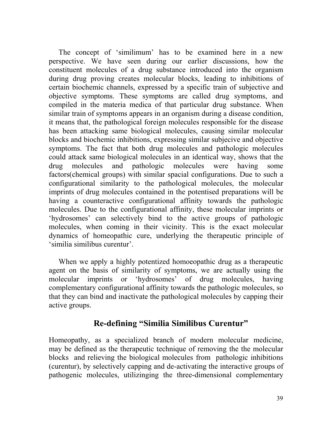The concept of 'similimum' has to be examined here in a new perspective. We have seen during our earlier discussions, how the constituent molecules of a drug substance introduced into the organism during drug proving creates molecular blocks, leading to inhibitions of certain biochemic channels, expressed by a specific train of subjective and objective symptoms. These symptoms are called drug symptoms, and compiled in the materia medica of that particular drug substance. When similar train of symptoms appears in an organism during a disease condition, it means that, the pathological foreign molecules responsible for the disease has been attacking same biological molecules, causing similar molecular blocks and biochemic inhibitions, expressing similar subjecive and objective symptoms. The fact that both drug molecules and pathologic molecules could attack same biological molecules in an identical way, shows that the drug molecules and pathologic molecules were having some factors(chemical groups) with similar spacial configurations. Due to such a configurational similarity to the pathological molecules, the molecular imprints of drug molecules contained in the potentised preparations will be having a counteractive configurational affinity towards the pathologic molecules. Due to the configurational affinity, these molecular imprints or 'hydrosomes' can selectively bind to the active groups of pathologic molecules, when coming in their vicinity. This is the exact molecular dynamics of homeopathic cure, underlying the therapeutic principle of 'similia similibus curentur'.

When we apply a highly potentized homoeopathic drug as a therapeutic agent on the basis of similarity of symptoms, we are actually using the molecular imprints or 'hydrosomes' of drug molecules, having complementary configurational affinity towards the pathologic molecules, so that they can bind and inactivate the pathological molecules by capping their active groups.

# **Re-defining "Similia Similibus Curentur"**

Homeopathy, as a specialized branch of modern molecular medicine, may be defined as the therapeutic technique of removing the the molecular blocks and relieving the biological molecules from pathologic inhibitions (curentur), by selectively capping and de-activating the interactive groups of pathogenic molecules, utilizinging the three-dimensional complementary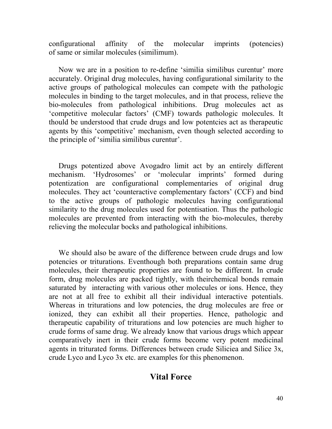configurational affinity of the molecular imprints (potencies) of same or similar molecules (similimum).

Now we are in a position to re-define 'similia similibus curentur' more accurately. Original drug molecules, having configurational similarity to the active groups of pathological molecules can compete with the pathologic molecules in binding to the target molecules, and in that process, relieve the bio-molecules from pathological inhibitions. Drug molecules act as 'competitive molecular factors' (CMF) towards pathologic molecules. It thould be understood that crude drugs and low potentcies act as therapeutic agents by this 'competitive' mechanism, even though selected according to the principle of 'similia similibus curentur'.

Drugs potentized above Avogadro limit act by an entirely different mechanism. 'Hydrosomes' or 'molecular imprints' formed during potentization are configurational complementaries of original drug molecules. They act 'counteractive complementary factors' (CCF) and bind to the active groups of pathologic molecules having configurational similarity to the drug molecules used for potentisation. Thus the pathologic molecules are prevented from interacting with the bio-molecules, thereby relieving the molecular bocks and pathological inhibitions.

We should also be aware of the difference between crude drugs and low potencies or triturations. Eventhough both preparations contain same drug molecules, their therapeutic properties are found to be different. In crude form, drug molecules are packed tightly, with theirchemical bonds remain saturated by interacting with various other molecules or ions. Hence, they are not at all free to exhibit all their individual interactive potentials. Whereas in triturations and low potencies, the drug molecules are free or ionized, they can exhibit all their properties. Hence, pathologic and therapeutic capability of triturations and low potencies are much higher to crude forms of same drug. We already know that various drugs which appear comparatively inert in their crude forms become very potent medicinal agents in triturated forms. Differences between crude Siliciea and Silice 3x, crude Lyco and Lyco 3x etc. are examples for this phenomenon.

# **Vital Force**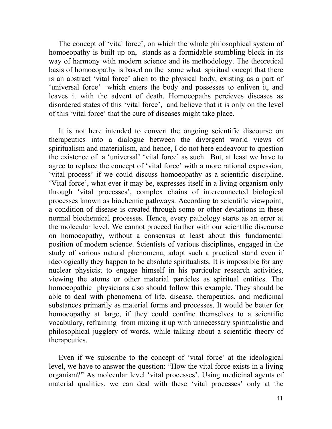The concept of 'vital force', on which the whole philosophical system of homoeopathy is built up on, stands as a formidable stumbling block in its way of harmony with modern science and its methodology. The theoretical basis of homoeopathy is based on the some what spiritual oncept that there is an abstract 'vital force' alien to the physical body, existing as a part of 'universal force' which enters the body and possesses to enliven it, and leaves it with the advent of death. Homoeopaths percieves diseases as disordered states of this 'vital force', and believe that it is only on the level of this 'vital force' that the cure of diseases might take place.

It is not here intended to convert the ongoing scientific discourse on therapeutics into a dialogue between the divergent world views of spiritualism and materialism, and hence, I do not here endeavour to question the existence of a 'universal' 'vital force' as such. But, at least we have to agree to replace the concept of 'vital force' with a more rational expression, 'vital process' if we could discuss homoeopathy as a scientific discipline. 'Vital force', what ever it may be, expresses itself in a living organism only through 'vital processes', complex chains of interconnected biological processes known as biochemic pathways. According to scientific viewpoint, a condition of disease is created through some or other deviations in these normal biochemical processes. Hence, every pathology starts as an error at the molecular level. We cannot proceed further with our scientific discourse on homoeopathy, without a consensus at least about this fundamental position of modern science. Scientists of various disciplines, engaged in the study of various natural phenomena, adopt such a practical stand even if ideologically they happen to be absolute spiritualists. It is impossible for any nuclear physicist to engage himself in his particular research activities, viewing the atoms or other material particles as spiritual entities. The homoeopathic physicians also should follow this example. They should be able to deal with phenomena of life, disease, therapeutics, and medicinal substances primarily as material forms and processes. It would be better for homoeopathy at large, if they could confine themselves to a scientific vocabulary, refraining from mixing it up with unnecessary spiritualistic and philosophical jugglery of words, while talking about a scientific theory of therapeutics.

Even if we subscribe to the concept of 'vital force' at the ideological level, we have to answer the question: "How the vital force exists in a living organism?" As molecular level 'vital processes'. Using medicinal agents of material qualities, we can deal with these 'vital processes' only at the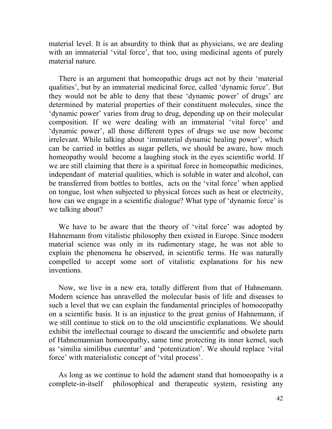material level. It is an absurdity to think that as physicians, we are dealing with an immaterial 'vital force', that too, using medicinal agents of purely material nature.

There is an argument that homeopathic drugs act not by their 'material qualities', but by an immaterial medicinal force, called 'dynamic force'. But they would not be able to deny that these 'dynamic power' of drugs' are determined by material properties of their constituent molecules, since the 'dynamic power' varies from drug to drug, depending up on their molecular composition. If we were dealing with an immaterial 'vital force' and 'dynamic power', all those different types of drugs we use now become irrelevant. While talking about 'immaterial dynamic healing power', which can be carried in bottles as sugar pellets, we should be aware, how much homeopathy would become a laughing stock in the eyes scientific world. If we are still claiming that there is a spiritual force in homeopathic medicines, independant of material qualities, which is soluble in water and alcohol, can be transferred from bottles to bottles, acts on the 'vital force' when applied on tongue, lost when subjected to physical forces such as heat or electricity, how can we engage in a scientific dialogue? What type of 'dynamic force' is we talking about?

We have to be aware that the theory of 'vital force' was adopted by Hahnemann from vitalistic philosophy then existed in Europe. Since modern material science was only in its rudimentary stage, he was not able to explain the phenomena he observed, in scientific terms. He was naturally compelled to accept some sort of vitalistic explanations for his new inventions.

Now, we live in a new era, totally different from that of Hahnemann. Modern science has unravelled the molecular basis of life and diseases to such a level that we can explain the fundamental principles of homoeopathy on a scientific basis. It is an injustice to the great genius of Hahnemann, if we still continue to stick on to the old unscientific explanations. We should exhibit the intellectual courage to discard the unscientific and obsolete parts of Hahnemannian homoeopathy, same time protecting its inner kernel, such as 'similia similibus curentur' and 'potentization'. We should replace 'vital force' with materialistic concept of 'vital process'.

As long as we continue to hold the adament stand that homoeopathy is a complete-in-itself philosophical and therapeutic system, resisting any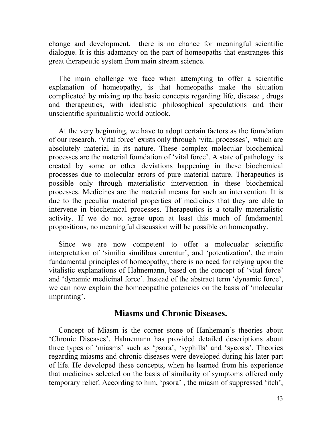change and development, there is no chance for meaningful scientific dialogue. It is this adamancy on the part of homeopaths that enstranges this great therapeutic system from main stream science.

The main challenge we face when attempting to offer a scientific explanation of homeopathy, is that homeopaths make the situation complicated by mixing up the basic concepts regarding life, disease , drugs and therapeutics, with idealistic philosophical speculations and their unscientific spiritualistic world outlook.

At the very beginning, we have to adopt certain factors as the foundation of our research. 'Vital force' exists only through 'vital processes', which are absolutely material in its nature. These complex molecular biochemical processes are the material foundation of 'vital force'. A state of pathology is created by some or other deviations happening in these biochemical processes due to molecular errors of pure material nature. Therapeutics is possible only through materialistic intervention in these biochemical processes. Medicines are the material means for such an intervention. It is due to the peculiar material properties of medicines that they are able to intervene in biochemical processes. Therapeutics is a totally materialistic activity. If we do not agree upon at least this much of fundamental propositions, no meaningful discussion will be possible on homeopathy.

Since we are now competent to offer a molecualar scientific interpretation of 'similia similibus curentur', and 'potentization', the main fundamental principles of homeopathy, there is no need for relying upon the vitalistic explanations of Hahnemann, based on the concept of 'vital force' and 'dynamic medicinal force'. Instead of the abstract term 'dynamic force', we can now explain the homoeopathic potencies on the basis of 'molecular imprinting'.

### **Miasms and Chronic Diseases.**

Concept of Miasm is the corner stone of Hanheman's theories about 'Chronic Diseases'. Hahnemann has provided detailed descriptions about three types of 'miasms' such as 'psora', 'syphills' and 'sycosis'. Theories regarding miasms and chronic diseases were developed during his later part of life. He devoloped these concepts, when he learned from his experience that medicines selected on the basis of similarity of symptoms offered only temporary relief. According to him, 'psora' , the miasm of suppressed 'itch',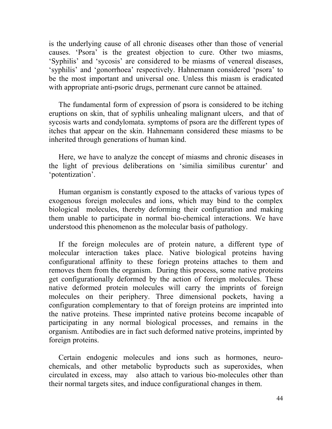is the underlying cause of all chronic diseases other than those of venerial causes. 'Psora' is the greatest objection to cure. Other two miasms, 'Syphilis' and 'sycosis' are considered to be miasms of venereal diseases, 'syphilis' and 'gonorrhoea' respectively. Hahnemann considered 'psora' to be the most important and universal one. Unless this miasm is eradicated with appropriate anti-psoric drugs, permenant cure cannot be attained.

The fundamental form of expression of psora is considered to be itching eruptions on skin, that of syphilis unhealing malignant ulcers, and that of sycosis warts and condylomata. symptoms of psora are the different types of itches that appear on the skin. Hahnemann considered these miasms to be inherited through generations of human kind.

Here, we have to analyze the concept of miasms and chronic diseases in the light of previous deliberations on 'similia similibus curentur' and 'potentization'.

Human organism is constantly exposed to the attacks of various types of exogenous foreign molecules and ions, which may bind to the complex biological molecules, thereby deforming their configuration and making them unable to participate in normal bio-chemical interactions. We have understood this phenomenon as the molecular basis of pathology.

If the foreign molecules are of protein nature, a different type of molecular interaction takes place. Native biological proteins having configurational affinity to these foriegn proteins attaches to them and removes them from the organism. During this process, some native proteins get configurationally deformed by the action of foreign molecules. These native deformed protein molecules will carry the imprints of foreign molecules on their periphery. Three dimensional pockets, having a configuration complementary to that of foreign proteins are imprinted into the native proteins. These imprinted native proteins become incapable of participating in any normal biological processes, and remains in the organism. Antibodies are in fact such deformed native proteins, imprinted by foreign proteins.

Certain endogenic molecules and ions such as hormones, neurochemicals, and other metabolic byproducts such as superoxides, when circulated in excess, may also attach to various bio-molecules other than their normal targets sites, and induce configurational changes in them.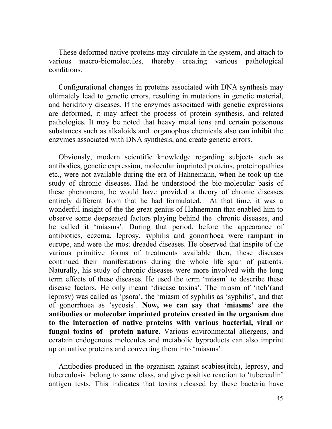These deformed native proteins may circulate in the system, and attach to various macro-biomolecules, thereby creating various pathological conditions.

Configurational changes in proteins associated with DNA synthesis may ultimately lead to genetic errors, resulting in mutations in genetic material, and heriditory diseases. If the enzymes associtaed with genetic expressions are deformed, it may affect the process of protein synthesis, and related pathologies. It may be noted that heavy metal ions and certain poisonous substances such as alkaloids and organophos chemicals also can inhibit the enzymes associated with DNA synthesis, and create genetic errors.

Obviously, modern scientific knowledge regarding subjects such as antibodies, genetic expression, molecular imprinted proteins, proteinopathies etc., were not available during the era of Hahnemann, when he took up the study of chronic diseases. Had he understood the bio-molecular basis of these phenomena, he would have provided a theory of chronic diseases entirely different from that he had formulated. At that time, it was a wonderful insight of the the great genius of Hahnemann that enabled him to observe some deepseated factors playing behind the chronic diseases, and he called it 'miasms'. During that period, before the appearance of antibiotics, eczema, leprosy, syphilis and gonorrhoea were rampant in europe, and were the most dreaded diseases. He observed that inspite of the various primitive forms of treatments available then, these diseases continued their manifestations during the whole life span of patients. Naturally, his study of chronic diseases were more involved with the long term effects of these diseases. He used the term 'miasm' to describe these disease factors. He only meant 'disease toxins'. The miasm of 'itch'(and leprosy) was called as 'psora', the 'miasm of syphilis as 'syphilis', and that of gonorrhoea as 'sycosis'. **Now, we can say that 'miasms' are the antibodies or molecular imprinted proteins created in the organism due to the interaction of native proteins with various bacterial, viral or fungal toxins of protein nature.** Various environmental allergens, and ceratain endogenous molecules and metabolic byproducts can also imprint up on native proteins and converting them into 'miasms'.

Antibodies produced in the organism against scabies(itch), leprosy, and tuberculosis belong to same class, and give positive reaction to 'tuberculin' antigen tests. This indicates that toxins released by these bacteria have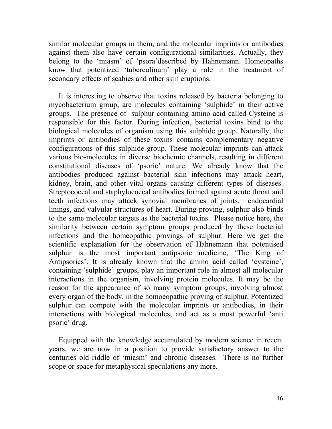similar molecular groups in them, and the molecular imprints or antibodies against them also have certain configurational similarities. Actually, they belong to the 'miasm' of 'psora'described by Hahnemann. Homeopaths know that potentized 'tuberculinum' play a role in the treatment of secondary effects of scabies and other skin eruptions.

It is interesting to observe that toxins released by bacteria belonging to mycobacterium group, are molecules containing 'sulphide' in their active groups. The presence of sulphur containing amino acid called Cysteine is responsible for this factor. During infection, bacterial toxins bind to the biological molecules of organism using this sulphide group. Naturally, the imprints or antibodies of these toxins contains complementary negative configurations of this sulphide group. These molecular imprints can attack various bio-molecules in diverse biochemic channels, resulting in different constitutional diseases of 'psoric' nature. We already know that the antibodies produced against bacterial skin infections may attack heart, kidney, brain, and other vital organs causing different types of diseases. Streptococcal and staphylococcal antibodies formed against acute throat and teeth infections may attack synovial membranes of joints, endocardial linings, and valvular structures of heart. During proving, sulphur also binds to the same molecular targets as the bacterial toxins. Please notice here, the similarity between certain symptom groups produced by these bacterial infections and the homeopathic provings of sulphur. Here we get the scientific explanation for the observation of Hahnemann that potentised sulphur is the most important antipsoric medicine, 'The King of Antipsorics'. It is already known that the amino acid called 'cysteine', containing 'sulphide' groups, play an important role in almost all molecular interactions in the organism, involving protein molecules. It may be the reason for the appearance of so many symptom groups, involving almost every organ of the body, in the homoeopathic proving of sulphur. Potentized sulphur can compete with the molecular imprints or antibodies, in their interactions with biological molecules, and act as a most powerful 'anti psoric' drug.

Equipped with the knowledge accumulated by modern science in recent years, we are now in a position to provide satisfactory answer to the centuries old riddle of 'miasm' and chronic diseases. There is no further scope or space for metaphysical speculations any more.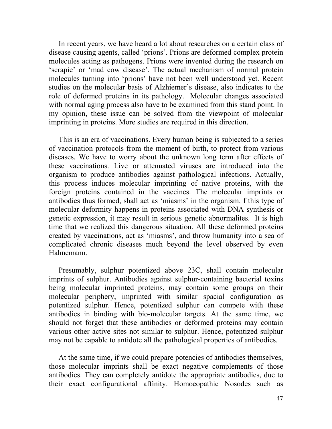In recent years, we have heard a lot about researches on a certain class of disease causing agents, called 'prions'. Prions are deformed complex protein molecules acting as pathogens. Prions were invented during the research on 'scrapie' or 'mad cow disease'. The actual mechanism of normal protein molecules turning into 'prions' have not been well understood yet. Recent studies on the molecular basis of Alzhiemer's disease, also indicates to the role of deformed proteins in its pathology. Molecular changes associated with normal aging process also have to be examined from this stand point. In my opinion, these issue can be solved from the viewpoint of molecular imprinting in proteins. More studies are required in this direction.

This is an era of vaccinations. Every human being is subjected to a series of vaccination protocols from the moment of birth, to protect from various diseases. We have to worry about the unknown long term after effects of these vaccinations. Live or attenuated viruses are introduced into the organism to produce antibodies against pathological infections. Actually, this process induces molecular imprinting of native proteins, with the foreign proteins contained in the vaccines. The molecular imprints or antibodies thus formed, shall act as 'miasms' in the organism. f this type of molecular deformity happens in proteins associated with DNA synthesis or genetic expression, it may result in serious genetic abnormalites. It is high time that we realized this dangerous situation. All these deformed proteins created by vaccinations, act as 'miasms', and throw humanity into a sea of complicated chronic diseases much beyond the level observed by even Hahnemann.

Presumably, sulphur potentized above 23C, shall contain molecular imprints of sulphur. Antibodies against sulphur-containing bacterial toxins being molecular imprinted proteins, may contain some groups on their molecular periphery, imprinted with similar spacial configuration as potentized sulphur. Hence, potentized sulphur can compete with these antibodies in binding with bio-molecular targets. At the same time, we should not forget that these antibodies or deformed proteins may contain various other active sites not similar to sulphur. Hence, potentized sulphur may not be capable to antidote all the pathological properties of antibodies.

At the same time, if we could prepare potencies of antibodies themselves, those molecular imprints shall be exact negative complements of those antibodies. They can completely antidote the appropriate antibodies, due to their exact configurational affinity. Homoeopathic Nosodes such as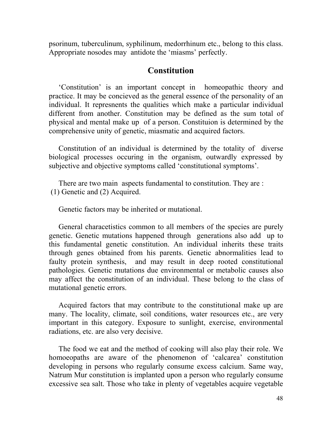psorinum, tuberculinum, syphilinum, medorrhinum etc., belong to this class. Appropriate nosodes may antidote the 'miasms' perfectly.

#### **Constitution**

'Constitution' is an important concept in homeopathic theory and practice. It may be concieved as the general essence of the personality of an individual. It represnents the qualities which make a particular individual different from another. Constitution may be defined as the sum total of physical and mental make up of a person. Constituion is determined by the comprehensive unity of genetic, miasmatic and acquired factors.

Constitution of an individual is determined by the totality of diverse biological processes occuring in the organism, outwardly expressed by subjective and objective symptoms called 'constitutional symptoms'.

There are two main aspects fundamental to constitution. They are : (1) Genetic and (2) Acquired.

Genetic factors may be inherited or mutational.

General characetistics common to all members of the species are purely genetic. Genetic mutations happened through generations also add up to this fundamental genetic constitution. An individual inherits these traits through genes obtained from his parents. Genetic abnormalities lead to faulty protein synthesis, and may result in deep rooted constitutional pathologies. Genetic mutations due environmental or metabolic causes also may affect the constitution of an individual. These belong to the class of mutational genetic errors.

Acquired factors that may contribute to the constitutional make up are many. The locality, climate, soil conditions, water resources etc., are very important in this category. Exposure to sunlight, exercise, environmental radiations, etc. are also very decisive.

The food we eat and the method of cooking will also play their role. We homoeopaths are aware of the phenomenon of 'calcarea' constitution developing in persons who regularly consume excess calcium. Same way, Natrum Mur constitution is implanted upon a person who regularly consume excessive sea salt. Those who take in plenty of vegetables acquire vegetable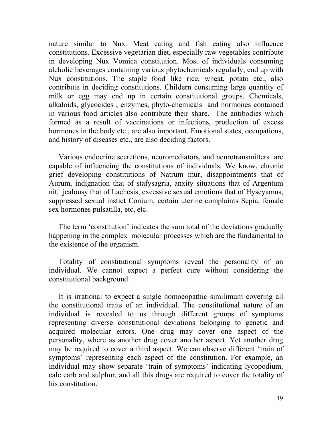nature similar to Nux. Meat eating and fish eating also influence constitutions. Excessive vegetarian diet, especially raw vegetables contribute in developing Nux Vomica constitution. Most of individuals consuming alcholic beverages containing various phytochemicals regularly, end up with Nux constitutions. The staple food like rice, wheat, potato etc., also contribute in deciding constitutions. Childern consuming large quantity of milk or egg may end up in certain constitutional groups. Chemicals, alkaloids, glycocides , enzymes, phyto-chemicals and hormones contained in various food articles also contribute their share. The antibodies which formed as a result of vaccinations or infections, production of excess hormones in the body etc., are also important. Emotional states, occupations, and history of diseases etc., are also deciding factors.

Various endocrine secretions, neuromediators, and neurotransmitters are capable of influencing the constitutions of individuals. We know, chronic grief developing constitutions of Natrum mur, disappointments that of Aurum, indignation that of stafysagria, anxity situations that of Argentum nit, jealousy that of Lachesis, excessive sexual emotions that of Hyscyamus, suppressed sexual instict Conium, certain uterine complaints Sepia, female sex hormones pulsatilla, etc, etc.

The term 'constitution' indicates the sum total of the deviations gradually happening in the complex molecular processes which are the fundamental to the existence of the organism.

Totality of constitutional symptoms reveal the personality of an individual. We cannot expect a perfect cure without considering the constitutional background.

It is irrational to expect a single homoeopathic similimum covering all the constitutional traits of an individual. The constitutional nature of an individual is revealed to us through different groups of symptoms representing diverse constitutional deviations belonging to genetic and acquired molecular errors. One drug may cover one aspect of the personality, where as another drug cover another aspect. Yet another drug may be required to cover a third aspect. We can observe different 'train of symptoms' representing each aspect of the constitution. For example, an individual may show separate 'train of symptoms' indicating lycopodium, calc carb and sulphur, and all this drugs are required to cover the totality of his constitution.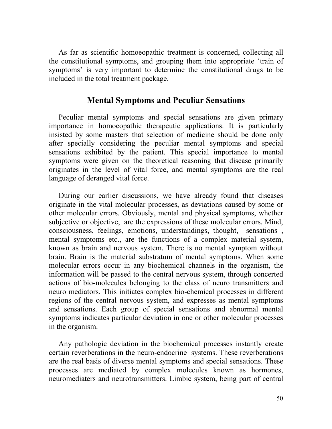As far as scientific homoeopathic treatment is concerned, collecting all the constitutional symptoms, and grouping them into appropriate 'train of symptoms' is very important to determine the constitutional drugs to be included in the total treatment package.

#### **Mental Symptoms and Peculiar Sensations**

Peculiar mental symptoms and special sensations are given primary importance in homoeopathic therapeutic applications. It is particularly insisted by some masters that selection of medicine should be done only after specially considering the peculiar mental symptoms and special sensations exhibited by the patient. This special importance to mental symptoms were given on the theoretical reasoning that disease primarily originates in the level of vital force, and mental symptoms are the real language of deranged vital force.

During our earlier discussions, we have already found that diseases originate in the vital molecular processes, as deviations caused by some or other molecular errors. Obviously, mental and physical symptoms, whether subjective or objective, are the expressions of these molecular errors. Mind, consciousness, feelings, emotions, understandings, thought, sensations , mental symptoms etc., are the functions of a complex material system, known as brain and nervous system. There is no mental symptom without brain. Brain is the material substratum of mental symptoms. When some molecular errors occur in any biochemical channels in the organism, the information will be passed to the central nervous system, through concerted actions of bio-molecules belonging to the class of neuro transmitters and neuro mediators. This initiates complex bio-chemical processes in different regions of the central nervous system, and expresses as mental symptoms and sensations. Each group of special sensations and abnormal mental symptoms indicates particular deviation in one or other molecular processes in the organism.

Any pathologic deviation in the biochemical processes instantly create certain reverberations in the neuro-endocrine systems. These reverberations are the real basis of diverse mental symptoms and special sensations. These processes are mediated by complex molecules known as hormones, neuromediaters and neurotransmitters. Limbic system, being part of central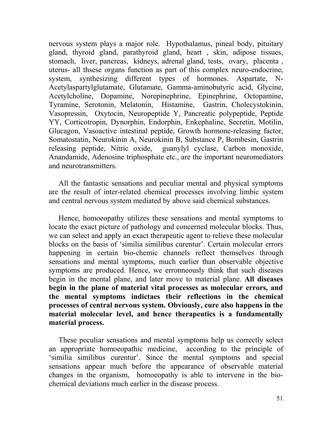nervous system plays a major role. Hypothalamus, pineal body, pituitary gland, thyroid gland, parathyroid gland, heart , skin, adipose tissues, stomach, liver, pancreas, kidneys, adrenal gland, tests, ovary, placenta , uterus- all thsese organs function as part of this complex neuro-endocrine, system, synthesizing different types of hormones. Aspartate, N-Acetylaspartylglutamate, Glutamate, Gamma-aminobutyric acid, Glycine, Acetylcholine, Dopamine, Norepinephrine, Epinephrine, Octopamine, Tyramine, Serotonin, Melatonin, Histamine, Gastrin, Cholecystokinin, Vasopressin, Oxytocin, Neuropeptide Y, Pancreatic polypeptide, Peptide YY, Corticotropin, Dynorphin, Endorphin, Enkephaline, Secretin, Motilin, Glucagon, Vasoactive intestinal peptide, Growth hormone-releasing factor, Somatostatin, Neurokinin A, Neurokinin B, Substance P, Bombesin, Gastrin releasing peptide, Nitric oxide, guanylyl cyclase, Carbon monoxide, Anandamide, Adenosine triphosphate etc., are the important neuromediators and neurotransmitters.

All the fantastic sensations and peculiar mental and physical symptoms are the result of inter-related chemical processes involving limbic system and central nervous system mediated by above said chemical substances.

Hence, homoeopathy utilizes these sensations and mental symptoms to locate the exact picture of pathology and concerned molecular blocks. Thus, we can select and apply an exact therapeutic agent to relieve these molecular blocks on the basis of 'similia similibus curentur'. Certain molecular errors happening in certain bio-chemic channels reflect themselves through sensations and mental symptoms, much earlier than observable objective symptoms are produced. Hence, we erronneously think that such diseases begin in the mental plane, and later move to material plane. **All diseases begin in the plane of material vital processes as molecular errors, and the mental symptoms indictaes their reflections in the chemical processes of central nervous system. Obviously, cure also happens in the material molecular level, and hence therapeutics is a fundamentally material process.** 

These peculiar sensations and mental symptoms help us correctly select an appropriate homoeopathic medicine, according to the principle of 'similia similibus curentur'. Since the mental symptoms and special sensations appear much before the appearance of observable material changes in the organism, homoeopathy is able to intervene in the biochemical deviations much earlier in the disease process.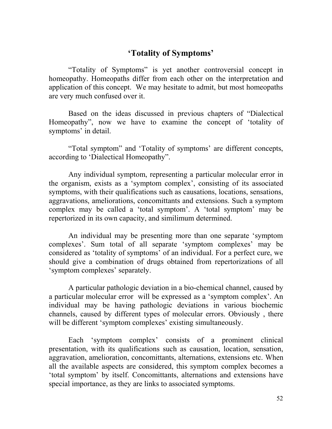## **'Totality of Symptoms'**

"Totality of Symptoms" is yet another controversial concept in homeopathy. Homeopaths differ from each other on the interpretation and application of this concept. We may hesitate to admit, but most homeopaths are very much confused over it.

Based on the ideas discussed in previous chapters of "Dialectical Homeopathy", now we have to examine the concept of 'totality of symptoms' in detail.

"Total symptom" and 'Totality of symptoms' are different concepts, according to 'Dialectical Homeopathy".

Any individual symptom, representing a particular molecular error in the organism, exists as a 'symptom complex', consisting of its associated symptoms, with their qualifications such as causations, locations, sensations, aggravations, ameliorations, concomittants and extensions. Such a symptom complex may be called a 'total symptom'. A 'total symptom' may be repertorized in its own capacity, and similimum determined.

An individual may be presenting more than one separate 'symptom complexes'. Sum total of all separate 'symptom complexes' may be considered as 'totality of symptoms' of an individual. For a perfect cure, we should give a combination of drugs obtained from repertorizations of all 'symptom complexes' separately.

A particular pathologic deviation in a bio-chemical channel, caused by a particular molecular error will be expressed as a 'symptom complex'. An individual may be having pathologic deviations in various biochemic channels, caused by different types of molecular errors. Obviously , there will be different 'symptom complexes' existing simultaneously.

Each 'symptom complex' consists of a prominent clinical presentation, with its qualifications such as causation, location, sensation, aggravation, amelioration, concomittants, alternations, extensions etc. When all the available aspects are considered, this symptom complex becomes a 'total symptom' by itself. Concomittants, alternations and extensions have special importance, as they are links to associated symptoms.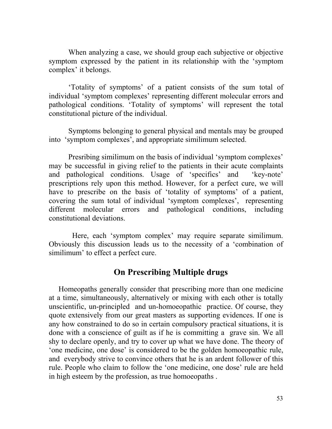When analyzing a case, we should group each subjective or objective symptom expressed by the patient in its relationship with the 'symptom complex' it belongs.

'Totality of symptoms' of a patient consists of the sum total of individual 'symptom complexes' representing different molecular errors and pathological conditions. 'Totality of symptoms' will represent the total constitutional picture of the individual.

Symptoms belonging to general physical and mentals may be grouped into 'symptom complexes', and appropriate similimum selected.

Presribing similimum on the basis of individual 'symptom complexes' may be successful in giving relief to the patients in their acute complaints and pathological conditions. Usage of 'specifics' and 'key-note' prescriptions rely upon this method. However, for a perfect cure, we will have to prescribe on the basis of 'totality of symptoms' of a patient, covering the sum total of individual 'symptom complexes', representing different molecular errors and pathological conditions, including constitutional deviations.

 Here, each 'symptom complex' may require separate similimum. Obviously this discussion leads us to the necessity of a 'combination of similimum' to effect a perfect cure.

# **On Prescribing Multiple drugs**

Homeopaths generally consider that prescribing more than one medicine at a time, simultaneously, alternatively or mixing with each other is totally unscientific, un-principled and un-homoeopathic practice. Of course, they quote extensively from our great masters as supporting evidences. If one is any how constrained to do so in certain compulsory practical situations, it is done with a conscience of guilt as if he is committing a grave sin. We all shy to declare openly, and try to cover up what we have done. The theory of 'one medicine, one dose' is considered to be the golden homoeopathic rule, and everybody strive to convince others that he is an ardent follower of this rule. People who claim to follow the 'one medicine, one dose' rule are held in high esteem by the profession, as true homoeopaths .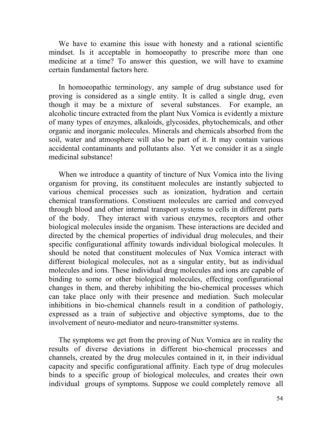We have to examine this issue with honesty and a rational scientific mindset. Is it acceptable in homoeopathy to prescribe more than one medicine at a time? To answer this question, we will have to examine certain fundamental factors here.

In homoeopathic terminology, any sample of drug substance used for proving is considered as a single entity. It is called a single drug, even though it may be a mixture of several substances. For example, an alcoholic tincure extracted from the plant Nux Vomica is evidently a mixture of many types of enzymes, alkaloids, glycosides, phytochemicals, and other organic and inorganic molecules. Minerals and chemicals absorbed from the soil, water and atmosphere will also be part of it. It may contain various accidental contaminants and pollutants also. Yet we consider it as a single medicinal substance!

When we introduce a quantity of tincture of Nux Vomica into the living organism for proving, its constituent molecules are instantly subjected to various chemical processes such as ionization, hydration and certain chemical transformations. Constiuent molecules are carried and conveyed through blood and other internal transport systems to cells in different parts of the body. They interact with various enzymes, receptors and other biological molecules inside the organism. These interactions are decided and directed by the chemical properties of individual drug molecules, and their specific configurational affinity towards individual biological molecules. It should be noted that constituent molecules of Nux Vomica interact with different biological molecules, not as a singular entity, but as individual molecules and ions. These individual drug molecules and ions are capable of binding to some or other biological molecules, effecting configurational changes in them, and thereby inhibiting the bio-chemical processes which can take place only with their presence and mediation. Such molecular inhibitions in bio-chemical channels result in a condition of pathologiy, expressed as a train of subjective and objective symptoms, due to the involvement of neuro-mediator and neuro-transmitter systems.

The symptoms we get from the proving of Nux Vomica are in reality the results of diverse deviations in different bio-chemical processes and channels, created by the drug molecules contained in it, in their individual capacity and specific configurational affinity. Each type of drug molecules binds to a specific group of biological molecules, and creates their own individual groups of symptoms. Suppose we could completely remove all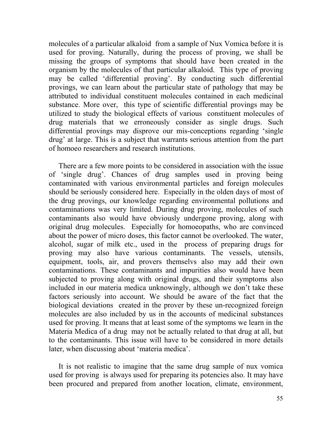molecules of a particular alkaloid from a sample of Nux Vomica before it is used for proving. Naturally, during the process of proving, we shall be missing the groups of symptoms that should have been created in the organism by the molecules of that particular alkaloid. This type of proving may be called 'differential proving'. By conducting such differential provings, we can learn about the particular state of pathology that may be attributed to individual constituent molecules contained in each medicinal substance. More over, this type of scientific differential provings may be utilized to study the biological effects of various constituent molecules of drug materials that we erroneously consider as single drugs. Such differential provings may disprove our mis-conceptions regarding 'single drug' at large. This is a subject that warrants serious attention from the part of homoeo researchers and research institutions.

There are a few more points to be considered in association with the issue of 'single drug'. Chances of drug samples used in proving being contaminated with various environmental particles and foreign molecules should be seriously considered here. Especially in the olden days of most of the drug provings, our knowledge regarding environmental pollutions and contaminations was very limited. During drug proving, molecules of such contaminants also would have obviously undergone proving, along with original drug molecules. Especially for homoeopaths, who are convinced about the power of micro doses, this factor cannot be overlooked. The water, alcohol, sugar of milk etc., used in the process of preparing drugs for proving may also have various contaminants. The vessels, utensils, equipment, tools, air, and provers themselvs also may add their own contaminations. These contaminants and impurities also would have been subjected to proving along with original drugs, and their symptoms also included in our materia medica unknowingly, although we don't take these factors seriously into account. We should be aware of the fact that the biological deviations created in the prover by these un-recognized foreign molecules are also included by us in the accounts of medicinal substances used for proving. It means that at least some of the symptoms we learn in the Materia Medica of a drug may not be actually related to that drug at all, but to the contaminants. This issue will have to be considered in more details later, when discussing about 'materia medica'.

It is not realistic to imagine that the same drug sample of nux vomica used for proving is always used for preparing its potencies also. It may have been procured and prepared from another location, climate, environment,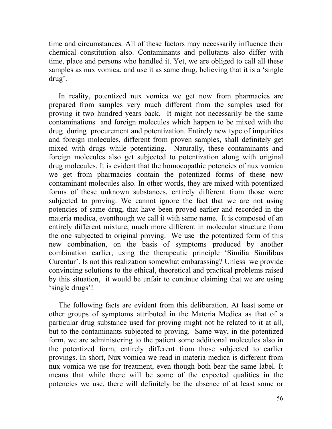time and circumstances. All of these factors may necessarily influence their chemical constitution also. Contaminants and pollutants also differ with time, place and persons who handled it. Yet, we are obliged to call all these samples as nux vomica, and use it as same drug, believing that it is a 'single drug'.

In reality, potentized nux vomica we get now from pharmacies are prepared from samples very much different from the samples used for proving it two hundred years back. It might not necessarily be the same contaminations and foreign molecules which happen to be mixed with the drug during procurement and potentization. Entirely new type of impurities and foreign molecules, different from proven samples, shall definitely get mixed with drugs while potentizing. Naturally, these contaminants and foreign molecules also get subjected to potentization along with original drug molecules. It is evident that the homoeopathic potencies of nux vomica we get from pharmacies contain the potentized forms of these new contaminant molecules also. In other words, they are mixed with potentized forms of these unknown substances, entirely different from those were subjected to proving. We cannot ignore the fact that we are not using potencies of same drug, that have been proved earlier and recorded in the materia medica, eventhough we call it with same name. It is composed of an entirely different mixture, much more different in molecular structure from the one subjected to original proving. We use the potentized form of this new combination, on the basis of symptoms produced by another combination earlier, using the therapeutic principle 'Similia Similibus Curentur'. Is not this realization somewhat embarassing? Unless we provide convincing solutions to the ethical, theoretical and practical problems raised by this situation, it would be unfair to continue claiming that we are using 'single drugs'!

The following facts are evident from this deliberation. At least some or other groups of symptoms attributed in the Materia Medica as that of a particular drug substance used for proving might not be related to it at all, but to the contaminants subjected to proving. Same way, in the potentized form, we are administering to the patient some additional molecules also in the potentized form, entirely different from those subjected to earlier provings. In short, Nux vomica we read in materia medica is different from nux vomica we use for treatment, even though both bear the same label. It means that while there will be some of the expected qualities in the potencies we use, there will definitely be the absence of at least some or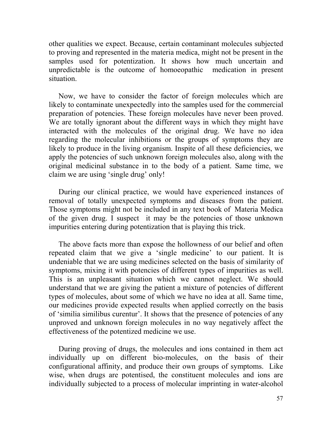other qualities we expect. Because, certain contaminant molecules subjected to proving and represented in the materia medica, might not be present in the samples used for potentization. It shows how much uncertain and unpredictable is the outcome of homoeopathic medication in present situation.

Now, we have to consider the factor of foreign molecules which are likely to contaminate unexpectedly into the samples used for the commercial preparation of potencies. These foreign molecules have never been proved. We are totally ignorant about the different ways in which they might have interacted with the molecules of the original drug. We have no idea regarding the molecular inhibitions or the groups of symptoms they are likely to produce in the living organism. Inspite of all these deficiencies, we apply the potencies of such unknown foreign molecules also, along with the original medicinal substance in to the body of a patient. Same time, we claim we are using 'single drug' only!

During our clinical practice, we would have experienced instances of removal of totally unexpected symptoms and diseases from the patient. Those symptoms might not be included in any text book of Materia Medica of the given drug. I suspect it may be the potencies of those unknown impurities entering during potentization that is playing this trick.

The above facts more than expose the hollowness of our belief and often repeated claim that we give a 'single medicine' to our patient. It is undeniable that we are using medicines selected on the basis of similarity of symptoms, mixing it with potencies of different types of impurities as well. This is an unpleasant situation which we cannot neglect. We should understand that we are giving the patient a mixture of potencies of different types of molecules, about some of which we have no idea at all. Same time, our medicines provide expected results when applied correctly on the basis of 'similia similibus curentur'. It shows that the presence of potencies of any unproved and unknown foreign molecules in no way negatively affect the effectiveness of the potentized medicine we use.

During proving of drugs, the molecules and ions contained in them act individually up on different bio-molecules, on the basis of their configurational affinity, and produce their own groups of symptoms. Like wise, when drugs are potentised, the constituent molecules and ions are individually subjected to a process of molecular imprinting in water-alcohol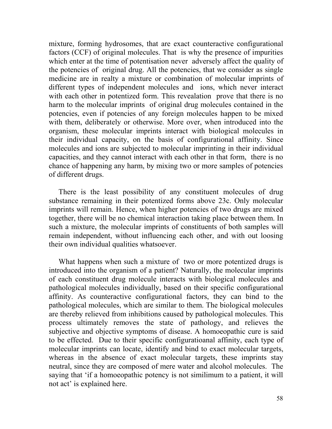mixture, forming hydrosomes, that are exact counteractive configurational factors (CCF) of original molecules. That is why the presence of impurities which enter at the time of potentisation never adversely affect the quality of the potencies of original drug. All the potencies, that we consider as single medicine are in realty a mixture or combination of molecular imprints of different types of independent molecules and ions, which never interact with each other in potentized form. This revealation prove that there is no harm to the molecular imprints of original drug molecules contained in the potencies, even if potencies of any foreign molecules happen to be mixed with them, deliberately or otherwise. More over, when introduced into the organism, these molecular imprints interact with biological molecules in their individual capacity, on the basis of configurational affinity. Since molecules and ions are subjected to molecular imprinting in their individual capacities, and they cannot interact with each other in that form, there is no chance of happening any harm, by mixing two or more samples of potencies of different drugs.

There is the least possibility of any constituent molecules of drug substance remaining in their potentized forms above 23c. Only molecular imprints will remain. Hence, when higher potencies of two drugs are mixed together, there will be no chemical interaction taking place between them. In such a mixture, the molecular imprints of constituents of both samples will remain independent, without influencing each other, and with out loosing their own individual qualities whatsoever.

What happens when such a mixture of two or more potentized drugs is introduced into the organism of a patient? Naturally, the molecular imprints of each constituent drug molecule interacts with biological molecules and pathological molecules individually, based on their specific configurational affinity. As counteractive configurational factors, they can bind to the pathological molecules, which are similar to them. The biological molecules are thereby relieved from inhibitions caused by pathological molecules. This process ultimately removes the state of pathology, and relieves the subjective and objective symptoms of disease. A homoeopathic cure is said to be effected. Due to their specific configuratioanal affinity, each type of molecular imprints can locate, identify and bind to exact molecular targets, whereas in the absence of exact molecular targets, these imprints stay neutral, since they are composed of mere water and alcohol molecules. The saying that 'if a homoeopathic potency is not similimum to a patient, it will not act' is explained here.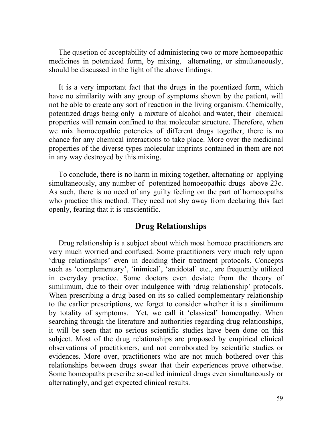The qusetion of acceptability of administering two or more homoeopathic medicines in potentized form, by mixing, alternating, or simultaneously, should be discussed in the light of the above findings.

It is a very important fact that the drugs in the potentized form, which have no similarity with any group of symptoms shown by the patient, will not be able to create any sort of reaction in the living organism. Chemically, potentized drugs being only a mixture of alcohol and water, their chemical properties will remain confined to that molecular structure. Therefore, when we mix homoeopathic potencies of different drugs together, there is no chance for any chemical interactions to take place. More over the medicinal properties of the diverse types molecular imprints contained in them are not in any way destroyed by this mixing.

To conclude, there is no harm in mixing together, alternating or applying simultaneously, any number of potentized homoeopathic drugs above 23c. As such, there is no need of any guilty feeling on the part of homoeopaths who practice this method. They need not shy away from declaring this fact openly, fearing that it is unscientific.

#### **Drug Relationships**

Drug relationship is a subject about which most homoeo practitioners are very much worried and confused. Some practitioners very much rely upon 'drug relationships' even in deciding their treatment protocols. Concepts such as 'complementary', 'inimical', 'antidotal' etc., are frequently utilized in everyday practice. Some doctors even deviate from the theory of similimum, due to their over indulgence with 'drug relationship' protocols. When prescribing a drug based on its so-called complementary relationship to the earlier prescriptions, we forget to consider whether it is a similimum by totality of symptoms. Yet, we call it 'classical' homeopathy. When searching through the literature and authorities regarding drug relationships, it will be seen that no serious scientific studies have been done on this subject. Most of the drug relationships are proposed by empirical clinical observations of practitioners, and not corroborated by scientific studies or evidences. More over, practitioners who are not much bothered over this relationships between drugs swear that their experiences prove otherwise. Some homeopaths prescribe so-called inimical drugs even simultaneously or alternatingly, and get expected clinical results.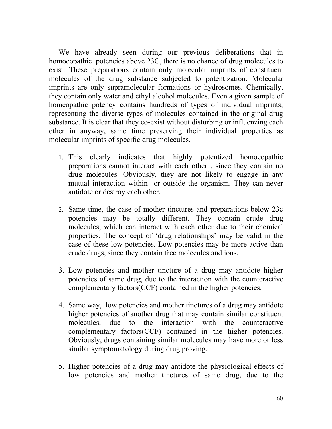We have already seen during our previous deliberations that in homoeopathic potencies above 23C, there is no chance of drug molecules to exist. These preparations contain only molecular imprints of constituent molecules of the drug substance subjected to potentization. Molecular imprints are only supramolecular formations or hydrosomes. Chemically, they contain only water and ethyl alcohol molecules. Even a given sample of homeopathic potency contains hundreds of types of individual imprints, representing the diverse types of molecules contained in the original drug substance. It is clear that they co-exist without disturbing or influenzing each other in anyway, same time preserving their individual properties as molecular imprints of specific drug molecules.

- 1. This clearly indicates that highly potentized homoeopathic preparations cannot interact with each other , since they contain no drug molecules. Obviously, they are not likely to engage in any mutual interaction within or outside the organism. They can never antidote or destroy each other.
- 2. Same time, the case of mother tinctures and preparations below 23c potencies may be totally different. They contain crude drug molecules, which can interact with each other due to their chemical properties. The concept of 'drug relationships' may be valid in the case of these low potencies. Low potencies may be more active than crude drugs, since they contain free molecules and ions.
- 3. Low potencies and mother tincture of a drug may antidote higher potencies of same drug, due to the interaction with the counteractive complementary factors(CCF) contained in the higher potencies.
- 4. Same way, low potencies and mother tinctures of a drug may antidote higher potencies of another drug that may contain similar constituent molecules, due to the interaction with the counteractive complementary factors(CCF) contained in the higher potencies. Obviously, drugs containing similar molecules may have more or less similar symptomatology during drug proving.
- 5. Higher potencies of a drug may antidote the physiological effects of low potencies and mother tinctures of same drug, due to the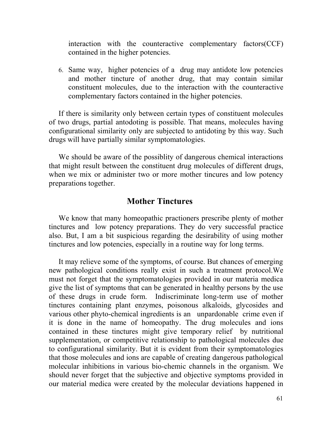interaction with the counteractive complementary factors(CCF) contained in the higher potencies.

6. Same way, higher potencies of a drug may antidote low potencies and mother tincture of another drug, that may contain similar constituent molecules, due to the interaction with the counteractive complementary factors contained in the higher potencies.

If there is similarity only between certain types of constituent molecules of two drugs, partial antodoting is possible. That means, molecules having configurational similarity only are subjected to antidoting by this way. Such drugs will have partially similar symptomatologies.

We should be aware of the possiblity of dangerous chemical interactions that might result between the constituent drug molecules of different drugs, when we mix or administer two or more mother tincures and low potency preparations together.

#### **Mother Tinctures**

We know that many homeopathic practioners prescribe plenty of mother tinctures and low potency preparations. They do very successful practice also. But, I am a bit suspicious regarding the desirability of using mother tinctures and low potencies, especially in a routine way for long terms.

It may relieve some of the symptoms, of course. But chances of emerging new pathological conditions really exist in such a treatment protocol.We must not forget that the symptomatologies provided in our materia medica give the list of symptoms that can be generated in healthy persons by the use of these drugs in crude form. Indiscriminate long-term use of mother tinctures containing plant enzymes, poisonous alkaloids, glycosides and various other phyto-chemical ingredients is an unpardonable crime even if it is done in the name of homeopathy. The drug molecules and ions contained in these tinctures might give temporary relief by nutritional supplementation, or competitive relationship to pathological molecules due to configurational similarity. But it is evident from their symptomatologies that those molecules and ions are capable of creating dangerous pathological molecular inhibitions in various bio-chemic channels in the organism. We should never forget that the subjective and objective symptoms provided in our material medica were created by the molecular deviations happened in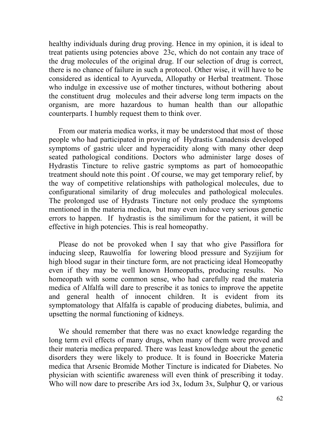healthy individuals during drug proving. Hence in my opinion, it is ideal to treat patients using potencies above 23c, which do not contain any trace of the drug molecules of the original drug. If our selection of drug is correct, there is no chance of failure in such a protocol. Other wise, it will have to be considered as identical to Ayurveda, Allopathy or Herbal treatment. Those who indulge in excessive use of mother tinctures, without bothering about the constituent drug molecules and their adverse long term impacts on the organism, are more hazardous to human health than our allopathic counterparts. I humbly request them to think over.

From our materia medica works, it may be understood that most of those people who had participated in proving of Hydrastis Canadensis developed symptoms of gastric ulcer and hyperacidity along with many other deep seated pathological conditions. Doctors who administer large doses of Hydrastis Tincture to relive gastric symptoms as part of homoeopathic treatment should note this point . Of course, we may get temporary relief, by the way of competitive relationships with pathological molecules, due to configurational similarity of drug molecules and pathological molecules. The prolonged use of Hydrasts Tincture not only produce the symptoms mentioned in the materia medica, but may even induce very serious genetic errors to happen. If hydrastis is the similimum for the patient, it will be effective in high potencies. This is real homeopathy.

Please do not be provoked when I say that who give Passiflora for inducing sleep, Rauwolfia for lowering blood pressure and Syzijium for high blood sugar in their tincture form, are not practicing ideal Homeopathy even if they may be well known Homeopaths, producing results. No homeopath with some common sense, who had carefully read the materia medica of Alfalfa will dare to prescribe it as tonics to improve the appetite and general health of innocent children. It is evident from its symptomatology that Alfalfa is capable of producing diabetes, bulimia, and upsetting the normal functioning of kidneys.

We should remember that there was no exact knowledge regarding the long term evil effects of many drugs, when many of them were proved and their materia medica prepared. There was least knowledge about the genetic disorders they were likely to produce. It is found in Boecricke Materia medica that Arsenic Bromide Mother Tincture is indicated for Diabetes. No physician with scientific awareness will even think of prescribing it today. Who will now dare to prescribe Ars iod 3x, Iodum 3x, Sulphur Q, or various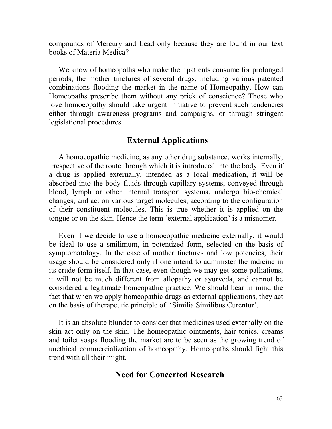compounds of Mercury and Lead only because they are found in our text books of Materia Medica?

We know of homeopaths who make their patients consume for prolonged periods, the mother tinctures of several drugs, including various patented combinations flooding the market in the name of Homeopathy. How can Homeopaths prescribe them without any prick of conscience? Those who love homoeopathy should take urgent initiative to prevent such tendencies either through awareness programs and campaigns, or through stringent legislational procedures.

#### **External Applications**

A homoeopathic medicine, as any other drug substance, works internally, irrespective of the route through which it is introduced into the body. Even if a drug is applied externally, intended as a local medication, it will be absorbed into the body fluids through capillary systems, conveyed through blood, lymph or other internal transport systems, undergo bio-chemical changes, and act on various target molecules, according to the configuration of their constituent molecules. This is true whether it is applied on the tongue or on the skin. Hence the term 'external application' is a misnomer.

Even if we decide to use a homoeopathic medicine externally, it would be ideal to use a smilimum, in potentized form, selected on the basis of symptomatology. In the case of mother tinctures and low potencies, their usage should be considered only if one intend to administer the mdicine in its crude form itself. In that case, even though we may get some palliations, it will not be much different from allopathy or ayurveda, and cannot be considered a legitimate homeopathic practice. We should bear in mind the fact that when we apply homeopathic drugs as external applications, they act on the basis of therapeutic principle of 'Similia Similibus Curentur'.

It is an absolute blunder to consider that medicines used externally on the skin act only on the skin. The homeopathic ointments, hair tonics, creams and toilet soaps flooding the market are to be seen as the growing trend of unethical commercialization of homeopathy. Homeopaths should fight this trend with all their might.

# **Need for Concerted Research**